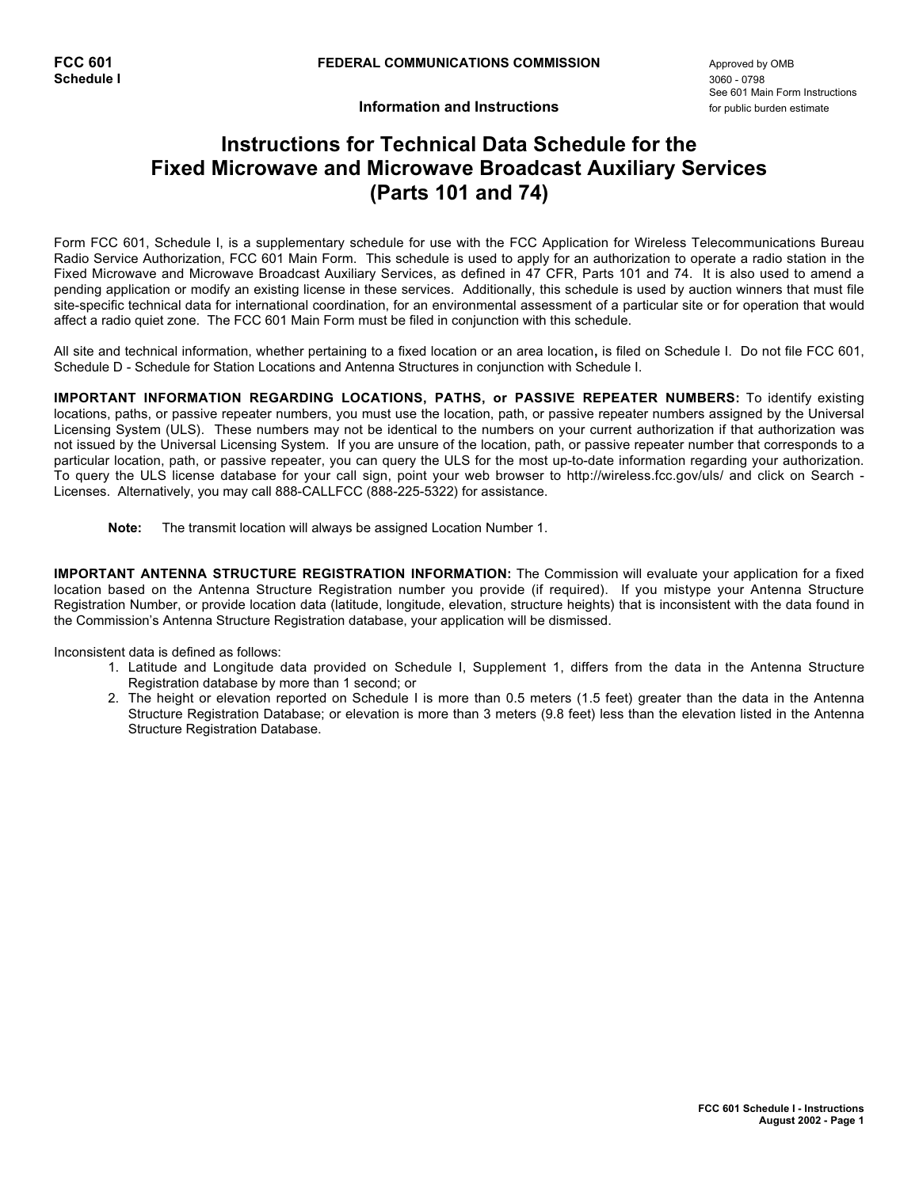**Information and Instructions** *property to the setimate* 

## **Instructions for Technical Data Schedule for the Fixed Microwave and Microwave Broadcast Auxiliary Services (Parts 101 and 74)**

Form FCC 601, Schedule I, is a supplementary schedule for use with the FCC Application for Wireless Telecommunications Bureau Radio Service Authorization, FCC 601 Main Form. This schedule is used to apply for an authorization to operate a radio station in the Fixed Microwave and Microwave Broadcast Auxiliary Services, as defined in 47 CFR, Parts 101 and 74. It is also used to amend a pending application or modify an existing license in these services. Additionally, this schedule is used by auction winners that must file site-specific technical data for international coordination, for an environmental assessment of a particular site or for operation that would affect a radio quiet zone. The FCC 601 Main Form must be filed in conjunction with this schedule.

All site and technical information, whether pertaining to a fixed location or an area location**,** is filed on Schedule I. Do not file FCC 601, Schedule D - Schedule for Station Locations and Antenna Structures in conjunction with Schedule I.

**IMPORTANT INFORMATION REGARDING LOCATIONS, PATHS, or PASSIVE REPEATER NUMBERS:** To identify existing locations, paths, or passive repeater numbers, you must use the location, path, or passive repeater numbers assigned by the Universal Licensing System (ULS). These numbers may not be identical to the numbers on your current authorization if that authorization was not issued by the Universal Licensing System. If you are unsure of the location, path, or passive repeater number that corresponds to a particular location, path, or passive repeater, you can query the ULS for the most up-to-date information regarding your authorization. To query the ULS license database for your call sign, point your web browser to http://wireless.fcc.gov/uls/ and click on Search - Licenses. Alternatively, you may call 888-CALLFCC (888-225-5322) for assistance.

**Note:** The transmit location will always be assigned Location Number 1.

**IMPORTANT ANTENNA STRUCTURE REGISTRATION INFORMATION:** The Commission will evaluate your application for a fixed location based on the Antenna Structure Registration number you provide (if required). If you mistype your Antenna Structure Registration Number, or provide location data (latitude, longitude, elevation, structure heights) that is inconsistent with the data found in the Commission's Antenna Structure Registration database, your application will be dismissed.

Inconsistent data is defined as follows:

- 1. Latitude and Longitude data provided on Schedule I, Supplement 1, differs from the data in the Antenna Structure Registration database by more than 1 second; or
- 2. The height or elevation reported on Schedule I is more than 0.5 meters (1.5 feet) greater than the data in the Antenna Structure Registration Database; or elevation is more than 3 meters (9.8 feet) less than the elevation listed in the Antenna Structure Registration Database.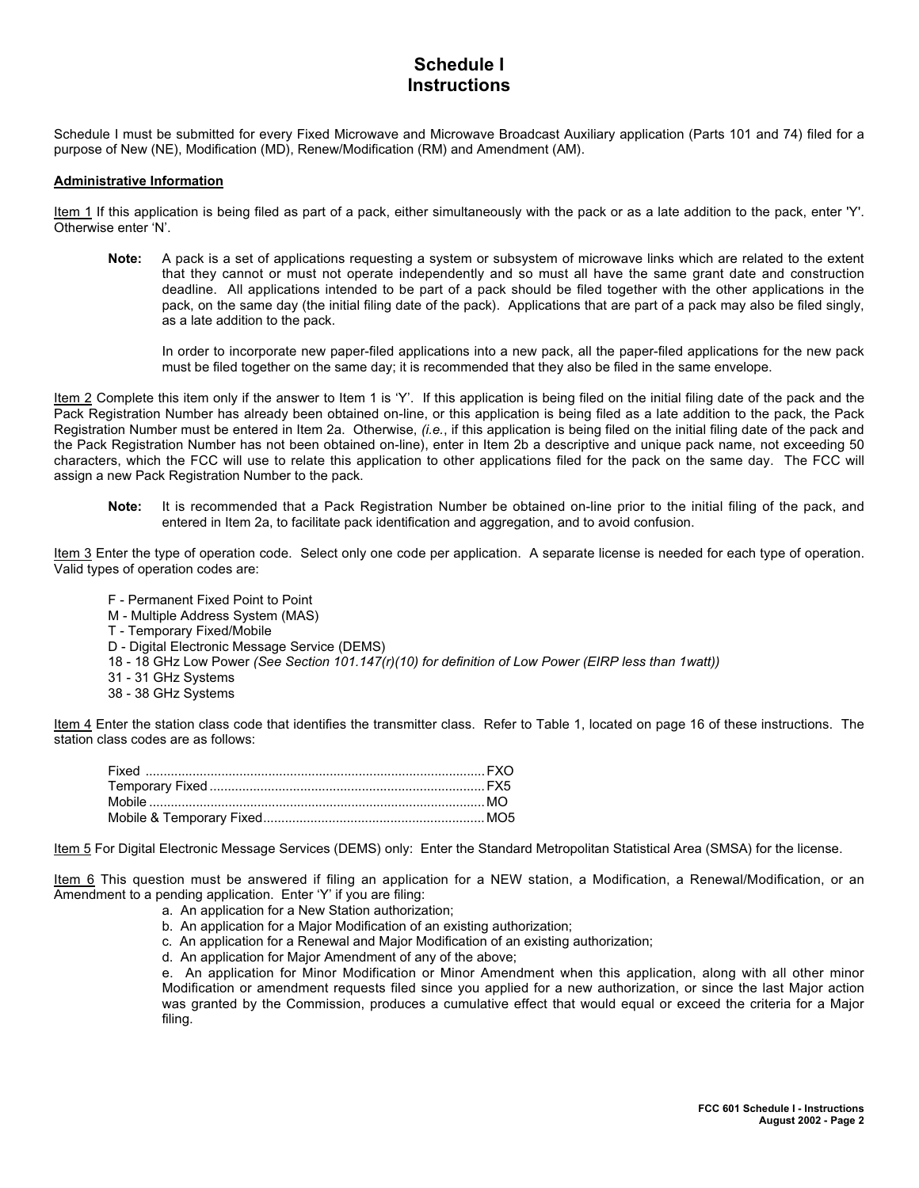## **Schedule I Instructions**

Schedule I must be submitted for every Fixed Microwave and Microwave Broadcast Auxiliary application (Parts 101 and 74) filed for a purpose of New (NE), Modification (MD), Renew/Modification (RM) and Amendment (AM).

#### **Administrative Information**

Item 1 If this application is being filed as part of a pack, either simultaneously with the pack or as a late addition to the pack, enter 'Y'. Otherwise enter 'N'.

**Note:** A pack is a set of applications requesting a system or subsystem of microwave links which are related to the extent that they cannot or must not operate independently and so must all have the same grant date and construction deadline. All applications intended to be part of a pack should be filed together with the other applications in the pack, on the same day (the initial filing date of the pack). Applications that are part of a pack may also be filed singly, as a late addition to the pack.

In order to incorporate new paper-filed applications into a new pack, all the paper-filed applications for the new pack must be filed together on the same day; it is recommended that they also be filed in the same envelope.

Item 2 Complete this item only if the answer to Item 1 is 'Y'. If this application is being filed on the initial filing date of the pack and the Pack Registration Number has already been obtained on-line, or this application is being filed as a late addition to the pack, the Pack Registration Number must be entered in Item 2a. Otherwise, *(i.e.*, if this application is being filed on the initial filing date of the pack and the Pack Registration Number has not been obtained on-line), enter in Item 2b a descriptive and unique pack name, not exceeding 50 characters, which the FCC will use to relate this application to other applications filed for the pack on the same day. The FCC will assign a new Pack Registration Number to the pack.

**Note:** It is recommended that a Pack Registration Number be obtained on-line prior to the initial filing of the pack, and entered in Item 2a, to facilitate pack identification and aggregation, and to avoid confusion.

Item 3 Enter the type of operation code. Select only one code per application. A separate license is needed for each type of operation. Valid types of operation codes are:

- F Permanent Fixed Point to Point
- M Multiple Address System (MAS)
- T Temporary Fixed/Mobile
- D Digital Electronic Message Service (DEMS)
- 18 18 GHz Low Power *(See Section 101.147(r)(10) for definition of Low Power (EIRP less than 1watt))*
- 31 31 GHz Systems
- 38 38 GHz Systems

Item 4 Enter the station class code that identifies the transmitter class. Refer to Table 1, located on page 16 of these instructions. The station class codes are as follows:

Item 5 For Digital Electronic Message Services (DEMS) only: Enter the Standard Metropolitan Statistical Area (SMSA) for the license.

Item 6 This question must be answered if filing an application for a NEW station, a Modification, a Renewal/Modification, or an Amendment to a pending application. Enter 'Y' if you are filing:

- a. An application for a New Station authorization;
- b. An application for a Major Modification of an existing authorization;
- c. An application for a Renewal and Major Modification of an existing authorization;
- d. An application for Major Amendment of any of the above;

e. An application for Minor Modification or Minor Amendment when this application, along with all other minor Modification or amendment requests filed since you applied for a new authorization, or since the last Major action was granted by the Commission, produces a cumulative effect that would equal or exceed the criteria for a Major filing.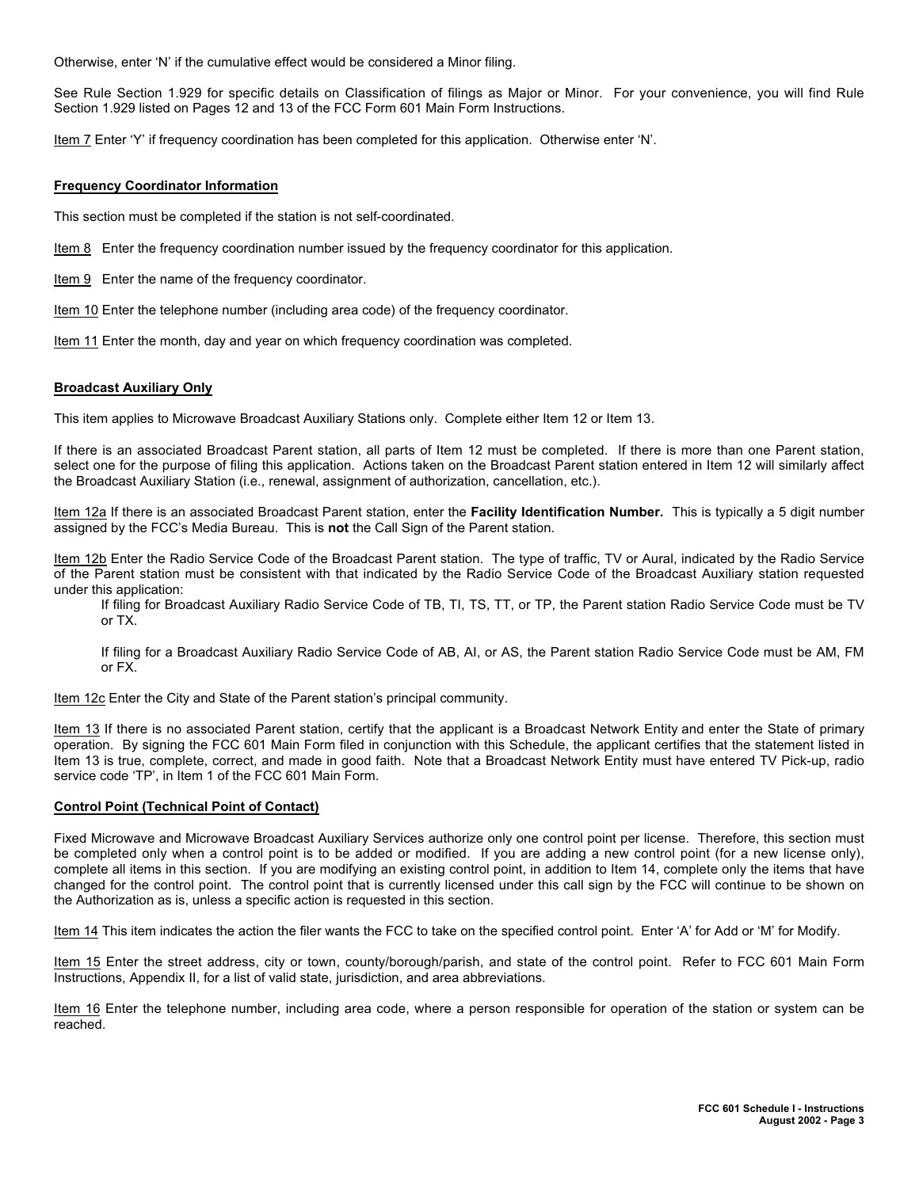Otherwise, enter 'N' if the cumulative effect would be considered a Minor filing.

See Rule Section 1.929 for specific details on Classification of filings as Major or Minor. For your convenience, you will find Rule Section 1.929 listed on Pages 12 and 13 of the FCC Form 601 Main Form Instructions.

Item 7 Enter 'Y' if frequency coordination has been completed for this application. Otherwise enter 'N'.

#### **Frequency Coordinator Information**

This section must be completed if the station is not self-coordinated.

**Item 8** Enter the frequency coordination number issued by the frequency coordinator for this application.

Item 9 Enter the name of the frequency coordinator.

Item 10 Enter the telephone number (including area code) of the frequency coordinator.

Item 11 Enter the month, day and year on which frequency coordination was completed.

#### **Broadcast Auxiliary Only**

This item applies to Microwave Broadcast Auxiliary Stations only. Complete either Item 12 or Item 13.

If there is an associated Broadcast Parent station, all parts of Item 12 must be completed. If there is more than one Parent station, select one for the purpose of filing this application. Actions taken on the Broadcast Parent station entered in Item 12 will similarly affect the Broadcast Auxiliary Station (i.e., renewal, assignment of authorization, cancellation, etc.).

Item 12a If there is an associated Broadcast Parent station, enter the **Facility Identification Number.** This is typically a 5 digit number assigned by the FCC's Media Bureau. This is **not** the Call Sign of the Parent station.

Item 12b Enter the Radio Service Code of the Broadcast Parent station. The type of traffic, TV or Aural, indicated by the Radio Service of the Parent station must be consistent with that indicated by the Radio Service Code of the Broadcast Auxiliary station requested under this application:

If filing for Broadcast Auxiliary Radio Service Code of TB, TI, TS, TT, or TP, the Parent station Radio Service Code must be TV or TX.

If filing for a Broadcast Auxiliary Radio Service Code of AB, AI, or AS, the Parent station Radio Service Code must be AM, FM or FX.

Item 12c Enter the City and State of the Parent station's principal community.

Item 13 If there is no associated Parent station, certify that the applicant is a Broadcast Network Entity and enter the State of primary operation. By signing the FCC 601 Main Form filed in conjunction with this Schedule, the applicant certifies that the statement listed in Item 13 is true, complete, correct, and made in good faith. Note that a Broadcast Network Entity must have entered TV Pick-up, radio service code 'TP', in Item 1 of the FCC 601 Main Form.

#### **Control Point (Technical Point of Contact)**

Fixed Microwave and Microwave Broadcast Auxiliary Services authorize only one control point per license. Therefore, this section must be completed only when a control point is to be added or modified. If you are adding a new control point (for a new license only), complete all items in this section. If you are modifying an existing control point, in addition to Item 14, complete only the items that have changed for the control point. The control point that is currently licensed under this call sign by the FCC will continue to be shown on the Authorization as is, unless a specific action is requested in this section.

Item 14 This item indicates the action the filer wants the FCC to take on the specified control point. Enter 'A' for Add or 'M' for Modify.

Item 15 Enter the street address, city or town, county/borough/parish, and state of the control point. Refer to FCC 601 Main Form Instructions, Appendix II, for a list of valid state, jurisdiction, and area abbreviations.

Item 16 Enter the telephone number, including area code, where a person responsible for operation of the station or system can be reached.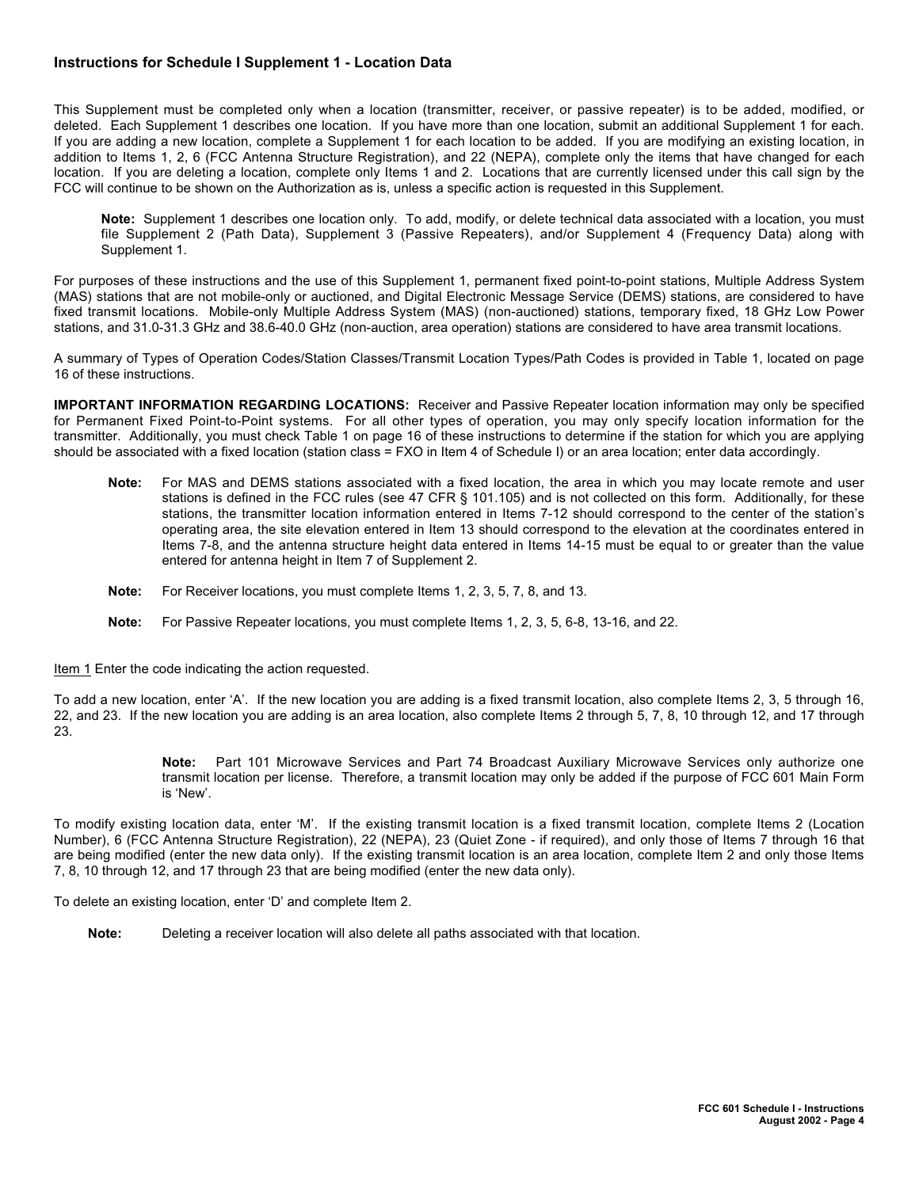## **Instructions for Schedule I Supplement 1 - Location Data**

This Supplement must be completed only when a location (transmitter, receiver, or passive repeater) is to be added, modified, or deleted. Each Supplement 1 describes one location. If you have more than one location, submit an additional Supplement 1 for each. If you are adding a new location, complete a Supplement 1 for each location to be added. If you are modifying an existing location, in addition to Items 1, 2, 6 (FCC Antenna Structure Registration), and 22 (NEPA), complete only the items that have changed for each location. If you are deleting a location, complete only Items 1 and 2. Locations that are currently licensed under this call sign by the FCC will continue to be shown on the Authorization as is, unless a specific action is requested in this Supplement.

**Note:** Supplement 1 describes one location only. To add, modify, or delete technical data associated with a location, you must file Supplement 2 (Path Data), Supplement 3 (Passive Repeaters), and/or Supplement 4 (Frequency Data) along with Supplement 1.

For purposes of these instructions and the use of this Supplement 1, permanent fixed point-to-point stations, Multiple Address System (MAS) stations that are not mobile-only or auctioned, and Digital Electronic Message Service (DEMS) stations, are considered to have fixed transmit locations. Mobile-only Multiple Address System (MAS) (non-auctioned) stations, temporary fixed, 18 GHz Low Power stations, and 31.0-31.3 GHz and 38.6-40.0 GHz (non-auction, area operation) stations are considered to have area transmit locations.

A summary of Types of Operation Codes/Station Classes/Transmit Location Types/Path Codes is provided in Table 1, located on page 16 of these instructions.

**IMPORTANT INFORMATION REGARDING LOCATIONS:** Receiver and Passive Repeater location information may only be specified for Permanent Fixed Point-to-Point systems. For all other types of operation, you may only specify location information for the transmitter. Additionally, you must check Table 1 on page 16 of these instructions to determine if the station for which you are applying should be associated with a fixed location (station class = FXO in Item 4 of Schedule I) or an area location; enter data accordingly.

- **Note:** For MAS and DEMS stations associated with a fixed location, the area in which you may locate remote and user stations is defined in the FCC rules (see 47 CFR § 101.105) and is not collected on this form. Additionally, for these stations, the transmitter location information entered in Items 7-12 should correspond to the center of the station's operating area, the site elevation entered in Item 13 should correspond to the elevation at the coordinates entered in Items 7-8, and the antenna structure height data entered in Items 14-15 must be equal to or greater than the value entered for antenna height in Item 7 of Supplement 2.
- **Note:** For Receiver locations, you must complete Items 1, 2, 3, 5, 7, 8, and 13.
- **Note:** For Passive Repeater locations, you must complete Items 1, 2, 3, 5, 6-8, 13-16, and 22.

Item 1 Enter the code indicating the action requested.

To add a new location, enter 'A'. If the new location you are adding is a fixed transmit location, also complete Items 2, 3, 5 through 16, 22, and 23. If the new location you are adding is an area location, also complete Items 2 through 5, 7, 8, 10 through 12, and 17 through 23.

> **Note:** Part 101 Microwave Services and Part 74 Broadcast Auxiliary Microwave Services only authorize one transmit location per license. Therefore, a transmit location may only be added if the purpose of FCC 601 Main Form is 'New'.

To modify existing location data, enter 'M'. If the existing transmit location is a fixed transmit location, complete Items 2 (Location Number), 6 (FCC Antenna Structure Registration), 22 (NEPA), 23 (Quiet Zone - if required), and only those of Items 7 through 16 that are being modified (enter the new data only). If the existing transmit location is an area location, complete Item 2 and only those Items 7, 8, 10 through 12, and 17 through 23 that are being modified (enter the new data only).

To delete an existing location, enter 'D' and complete Item 2.

**Note:** Deleting a receiver location will also delete all paths associated with that location.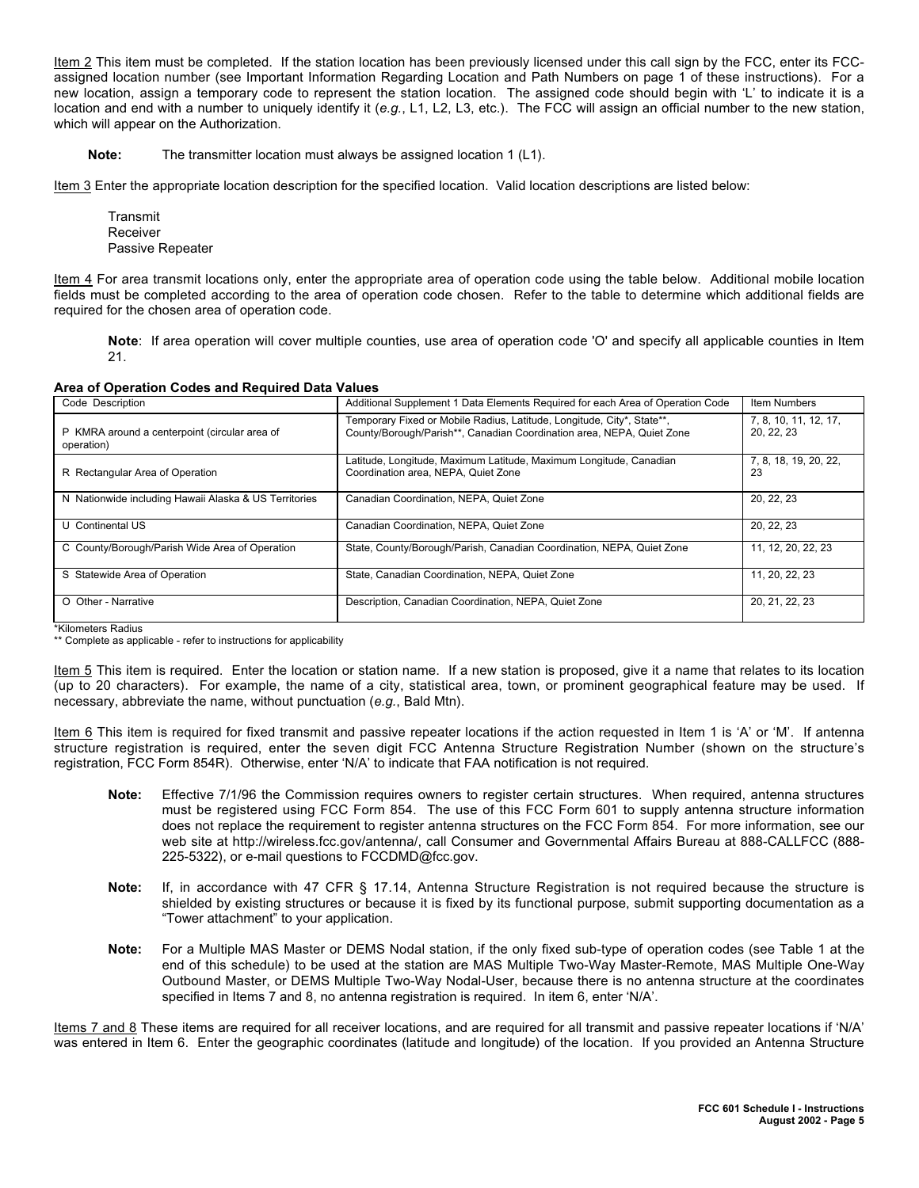Item 2 This item must be completed. If the station location has been previously licensed under this call sign by the FCC, enter its FCCassigned location number (see Important Information Regarding Location and Path Numbers on page 1 of these instructions). For a new location, assign a temporary code to represent the station location. The assigned code should begin with 'L' to indicate it is a location and end with a number to uniquely identify it (*e.g.*, L1, L2, L3, etc.). The FCC will assign an official number to the new station, which will appear on the Authorization.

**Note:** The transmitter location must always be assigned location 1 (L1).

Item 3 Enter the appropriate location description for the specified location. Valid location descriptions are listed below:

Transmit Receiver Passive Repeater

Item 4 For area transmit locations only, enter the appropriate area of operation code using the table below. Additional mobile location fields must be completed according to the area of operation code chosen. Refer to the table to determine which additional fields are required for the chosen area of operation code.

**Note**: If area operation will cover multiple counties, use area of operation code 'O' and specify all applicable counties in Item 21.

| Area of Operation Codes and Required Data Values |  |
|--------------------------------------------------|--|
|--------------------------------------------------|--|

| $1.000$ of $\sigma$ , $\sigma$ , $\sigma$ , $\sigma$ , $\sigma$ , $\sigma$ , $\sigma$ , $\sigma$ , $\sigma$ , $\sigma$ , $\sigma$ , $\sigma$ , $\sigma$ , $\sigma$ , $\sigma$ , $\sigma$ , $\sigma$ , $\sigma$ , $\sigma$ , $\sigma$ , $\sigma$ , $\sigma$ , $\sigma$ , $\sigma$ , $\sigma$ , $\sigma$ , $\sigma$ , $\sigma$ , $\sigma$ , $\sigma$ , |                                                                                                                                                 |                                     |
|------------------------------------------------------------------------------------------------------------------------------------------------------------------------------------------------------------------------------------------------------------------------------------------------------------------------------------------------------|-------------------------------------------------------------------------------------------------------------------------------------------------|-------------------------------------|
| Code Description                                                                                                                                                                                                                                                                                                                                     | Additional Supplement 1 Data Elements Required for each Area of Operation Code                                                                  | <b>Item Numbers</b>                 |
| P KMRA around a centerpoint (circular area of<br>operation)                                                                                                                                                                                                                                                                                          | Temporary Fixed or Mobile Radius, Latitude, Longitude, City*, State**,<br>County/Borough/Parish**, Canadian Coordination area, NEPA, Quiet Zone | 7, 8, 10, 11, 12, 17,<br>20, 22, 23 |
| R Rectangular Area of Operation                                                                                                                                                                                                                                                                                                                      | Latitude, Longitude, Maximum Latitude, Maximum Longitude, Canadian<br>Coordination area. NEPA. Quiet Zone                                       | 7, 8, 18, 19, 20, 22,<br>23         |
| N Nationwide including Hawaii Alaska & US Territories                                                                                                                                                                                                                                                                                                | Canadian Coordination, NEPA, Quiet Zone                                                                                                         | 20, 22, 23                          |
| U Continental US                                                                                                                                                                                                                                                                                                                                     | Canadian Coordination, NEPA, Quiet Zone                                                                                                         | 20, 22, 23                          |
| C County/Borough/Parish Wide Area of Operation                                                                                                                                                                                                                                                                                                       | State, County/Borough/Parish, Canadian Coordination, NEPA, Quiet Zone                                                                           | 11, 12, 20, 22, 23                  |
| S Statewide Area of Operation                                                                                                                                                                                                                                                                                                                        | State, Canadian Coordination, NEPA, Quiet Zone                                                                                                  | 11, 20, 22, 23                      |
| O Other - Narrative                                                                                                                                                                                                                                                                                                                                  | Description, Canadian Coordination, NEPA, Quiet Zone                                                                                            | 20, 21, 22, 23                      |

\*Kilometers Radius

\*\* Complete as applicable - refer to instructions for applicability

Item 5 This item is required. Enter the location or station name. If a new station is proposed, give it a name that relates to its location (up to 20 characters). For example, the name of a city, statistical area, town, or prominent geographical feature may be used. If necessary, abbreviate the name, without punctuation (*e.g.*, Bald Mtn).

Item 6 This item is required for fixed transmit and passive repeater locations if the action requested in Item 1 is 'A' or 'M'. If antenna structure registration is required, enter the seven digit FCC Antenna Structure Registration Number (shown on the structure's registration, FCC Form 854R). Otherwise, enter 'N/A' to indicate that FAA notification is not required.

- **Note:** Effective 7/1/96 the Commission requires owners to register certain structures. When required, antenna structures must be registered using FCC Form 854. The use of this FCC Form 601 to supply antenna structure information does not replace the requirement to register antenna structures on the FCC Form 854. For more information, see our web site at http://wireless.fcc.gov/antenna/, call Consumer and Governmental Affairs Bureau at 888-CALLFCC (888- 225-5322), or e-mail questions to FCCDMD@fcc.gov.
- **Note:** If, in accordance with 47 CFR § 17.14, Antenna Structure Registration is not required because the structure is shielded by existing structures or because it is fixed by its functional purpose, submit supporting documentation as a "Tower attachment" to your application.
- **Note:** For a Multiple MAS Master or DEMS Nodal station, if the only fixed sub-type of operation codes (see Table 1 at the end of this schedule) to be used at the station are MAS Multiple Two-Way Master-Remote, MAS Multiple One-Way Outbound Master, or DEMS Multiple Two-Way Nodal-User, because there is no antenna structure at the coordinates specified in Items 7 and 8, no antenna registration is required. In item 6, enter 'N/A'.

Items 7 and 8 These items are required for all receiver locations, and are required for all transmit and passive repeater locations if 'N/A' was entered in Item 6. Enter the geographic coordinates (latitude and longitude) of the location. If you provided an Antenna Structure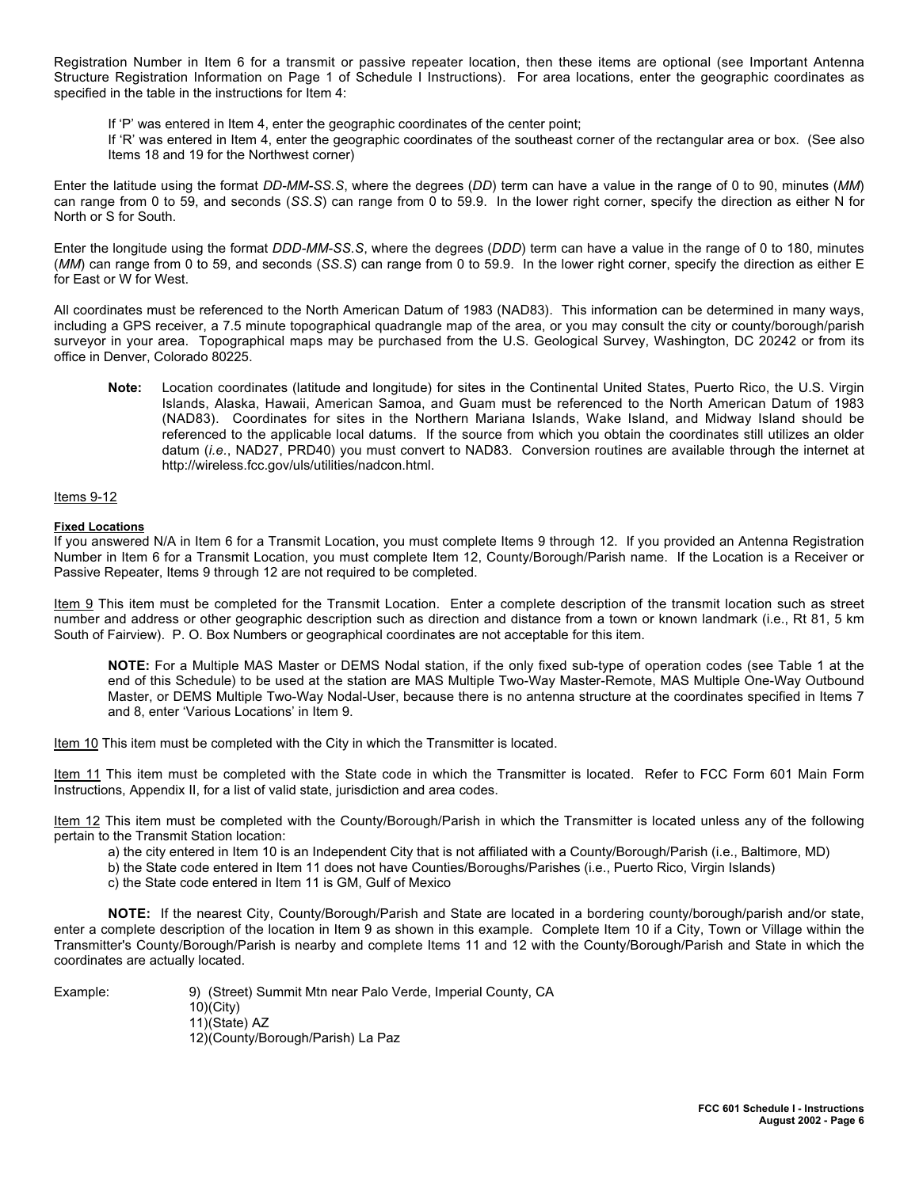Registration Number in Item 6 for a transmit or passive repeater location, then these items are optional (see Important Antenna Structure Registration Information on Page 1 of Schedule I Instructions). For area locations, enter the geographic coordinates as specified in the table in the instructions for Item 4:

If 'P' was entered in Item 4, enter the geographic coordinates of the center point;

If 'R' was entered in Item 4, enter the geographic coordinates of the southeast corner of the rectangular area or box. (See also Items 18 and 19 for the Northwest corner)

Enter the latitude using the format *DD-MM-SS.S*, where the degrees (*DD*) term can have a value in the range of 0 to 90, minutes (*MM*) can range from 0 to 59, and seconds (*SS.S*) can range from 0 to 59.9. In the lower right corner, specify the direction as either N for North or S for South.

Enter the longitude using the format *DDD-MM-SS.S*, where the degrees (*DDD*) term can have a value in the range of 0 to 180, minutes (*MM*) can range from 0 to 59, and seconds (*SS.S*) can range from 0 to 59.9. In the lower right corner, specify the direction as either E for East or W for West.

All coordinates must be referenced to the North American Datum of 1983 (NAD83). This information can be determined in many ways, including a GPS receiver, a 7.5 minute topographical quadrangle map of the area, or you may consult the city or county/borough/parish surveyor in your area. Topographical maps may be purchased from the U.S. Geological Survey, Washington, DC 20242 or from its office in Denver, Colorado 80225.

**Note:** Location coordinates (latitude and longitude) for sites in the Continental United States, Puerto Rico, the U.S. Virgin Islands, Alaska, Hawaii, American Samoa, and Guam must be referenced to the North American Datum of 1983 (NAD83). Coordinates for sites in the Northern Mariana Islands, Wake Island, and Midway Island should be referenced to the applicable local datums. If the source from which you obtain the coordinates still utilizes an older datum (*i.e.*, NAD27, PRD40) you must convert to NAD83. Conversion routines are available through the internet at http://wireless.fcc.gov/uls/utilities/nadcon.html.

Items 9-12

#### **Fixed Locations**

If you answered N/A in Item 6 for a Transmit Location, you must complete Items 9 through 12. If you provided an Antenna Registration Number in Item 6 for a Transmit Location, you must complete Item 12, County/Borough/Parish name. If the Location is a Receiver or Passive Repeater, Items 9 through 12 are not required to be completed.

Item 9 This item must be completed for the Transmit Location. Enter a complete description of the transmit location such as street number and address or other geographic description such as direction and distance from a town or known landmark (i.e., Rt 81, 5 km South of Fairview). P. O. Box Numbers or geographical coordinates are not acceptable for this item.

**NOTE:** For a Multiple MAS Master or DEMS Nodal station, if the only fixed sub-type of operation codes (see Table 1 at the end of this Schedule) to be used at the station are MAS Multiple Two-Way Master-Remote, MAS Multiple One-Way Outbound Master, or DEMS Multiple Two-Way Nodal-User, because there is no antenna structure at the coordinates specified in Items 7 and 8, enter 'Various Locations' in Item 9.

Item 10 This item must be completed with the City in which the Transmitter is located.

Item 11 This item must be completed with the State code in which the Transmitter is located. Refer to FCC Form 601 Main Form Instructions, Appendix II, for a list of valid state, jurisdiction and area codes.

Item 12 This item must be completed with the County/Borough/Parish in which the Transmitter is located unless any of the following pertain to the Transmit Station location:

a) the city entered in Item 10 is an Independent City that is not affiliated with a County/Borough/Parish (i.e., Baltimore, MD)

- b) the State code entered in Item 11 does not have Counties/Boroughs/Parishes (i.e., Puerto Rico, Virgin Islands)
- c) the State code entered in Item 11 is GM, Gulf of Mexico

**NOTE:** If the nearest City, County/Borough/Parish and State are located in a bordering county/borough/parish and/or state, enter a complete description of the location in Item 9 as shown in this example. Complete Item 10 if a City, Town or Village within the Transmitter's County/Borough/Parish is nearby and complete Items 11 and 12 with the County/Borough/Parish and State in which the coordinates are actually located.

Example: 9) (Street) Summit Mtn near Palo Verde, Imperial County, CA 10)(City) 11)(State) AZ 12)(County/Borough/Parish) La Paz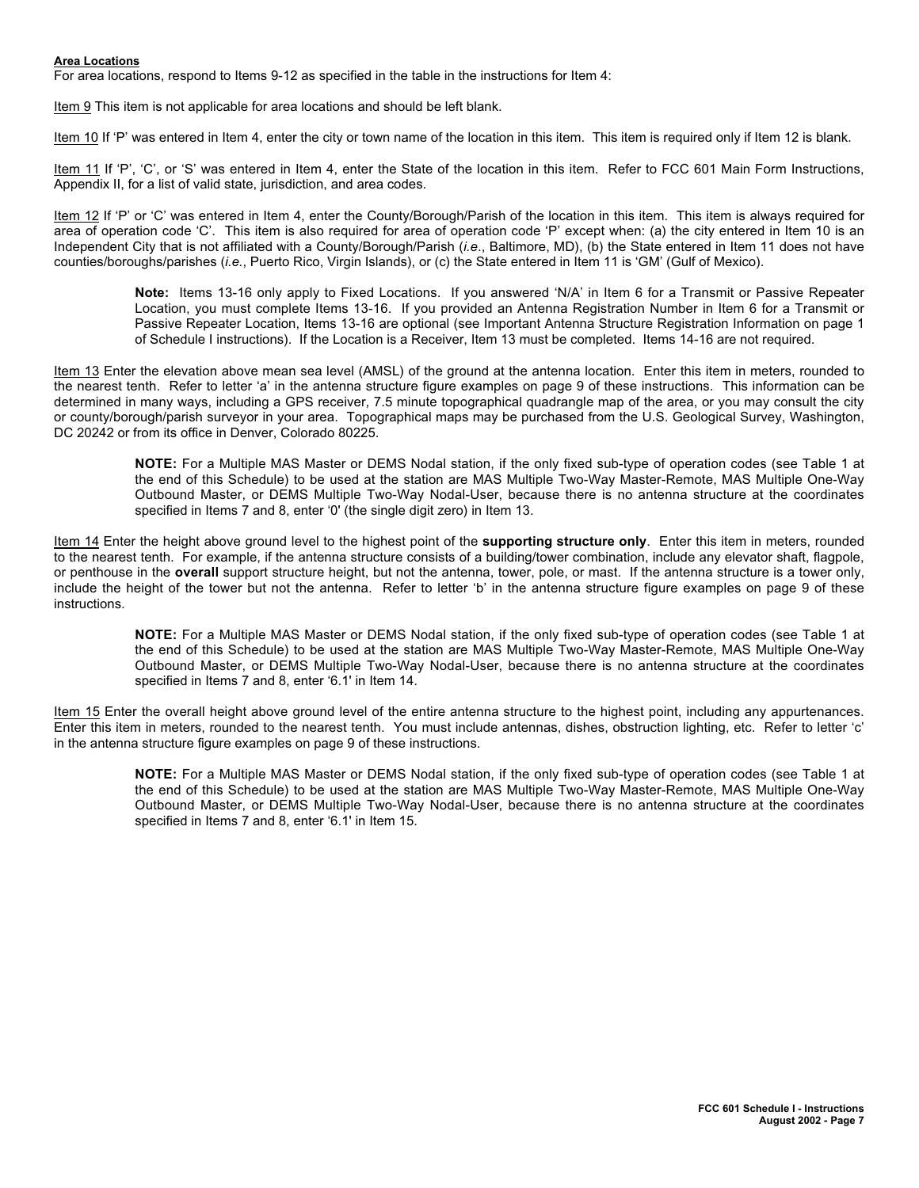#### **Area Locations**

For area locations, respond to Items 9-12 as specified in the table in the instructions for Item 4:

Item 9 This item is not applicable for area locations and should be left blank.

Item 10 If 'P' was entered in Item 4, enter the city or town name of the location in this item. This item is required only if Item 12 is blank.

Item 11 If 'P', 'C', or 'S' was entered in Item 4, enter the State of the location in this item. Refer to FCC 601 Main Form Instructions, Appendix II, for a list of valid state, jurisdiction, and area codes.

Item 12 If 'P' or 'C' was entered in Item 4, enter the County/Borough/Parish of the location in this item. This item is always required for area of operation code 'C'. This item is also required for area of operation code 'P' except when: (a) the city entered in Item 10 is an Independent City that is not affiliated with a County/Borough/Parish (*i.e*., Baltimore, MD), (b) the State entered in Item 11 does not have counties/boroughs/parishes (*i.e.*, Puerto Rico, Virgin Islands), or (c) the State entered in Item 11 is 'GM' (Gulf of Mexico).

**Note:** Items 13-16 only apply to Fixed Locations. If you answered 'N/A' in Item 6 for a Transmit or Passive Repeater Location, you must complete Items 13-16. If you provided an Antenna Registration Number in Item 6 for a Transmit or Passive Repeater Location, Items 13-16 are optional (see Important Antenna Structure Registration Information on page 1 of Schedule I instructions). If the Location is a Receiver, Item 13 must be completed. Items 14-16 are not required.

Item 13 Enter the elevation above mean sea level (AMSL) of the ground at the antenna location. Enter this item in meters, rounded to the nearest tenth. Refer to letter 'a' in the antenna structure figure examples on page 9 of these instructions. This information can be determined in many ways, including a GPS receiver, 7.5 minute topographical quadrangle map of the area, or you may consult the city or county/borough/parish surveyor in your area. Topographical maps may be purchased from the U.S. Geological Survey, Washington, DC 20242 or from its office in Denver, Colorado 80225.

**NOTE:** For a Multiple MAS Master or DEMS Nodal station, if the only fixed sub-type of operation codes (see Table 1 at the end of this Schedule) to be used at the station are MAS Multiple Two-Way Master-Remote, MAS Multiple One-Way Outbound Master, or DEMS Multiple Two-Way Nodal-User, because there is no antenna structure at the coordinates specified in Items 7 and 8, enter '0' (the single digit zero) in Item 13.

Item 14 Enter the height above ground level to the highest point of the **supporting structure only**. Enter this item in meters, rounded to the nearest tenth. For example, if the antenna structure consists of a building/tower combination, include any elevator shaft, flagpole, or penthouse in the **overall** support structure height, but not the antenna, tower, pole, or mast. If the antenna structure is a tower only, include the height of the tower but not the antenna. Refer to letter 'b' in the antenna structure figure examples on page 9 of these instructions.

**NOTE:** For a Multiple MAS Master or DEMS Nodal station, if the only fixed sub-type of operation codes (see Table 1 at the end of this Schedule) to be used at the station are MAS Multiple Two-Way Master-Remote, MAS Multiple One-Way Outbound Master, or DEMS Multiple Two-Way Nodal-User, because there is no antenna structure at the coordinates specified in Items 7 and 8, enter '6.1' in Item 14.

Item 15 Enter the overall height above ground level of the entire antenna structure to the highest point, including any appurtenances. Enter this item in meters, rounded to the nearest tenth. You must include antennas, dishes, obstruction lighting, etc. Refer to letter 'c' in the antenna structure figure examples on page 9 of these instructions.

> **NOTE:** For a Multiple MAS Master or DEMS Nodal station, if the only fixed sub-type of operation codes (see Table 1 at the end of this Schedule) to be used at the station are MAS Multiple Two-Way Master-Remote, MAS Multiple One-Way Outbound Master, or DEMS Multiple Two-Way Nodal-User, because there is no antenna structure at the coordinates specified in Items 7 and 8, enter '6.1' in Item 15.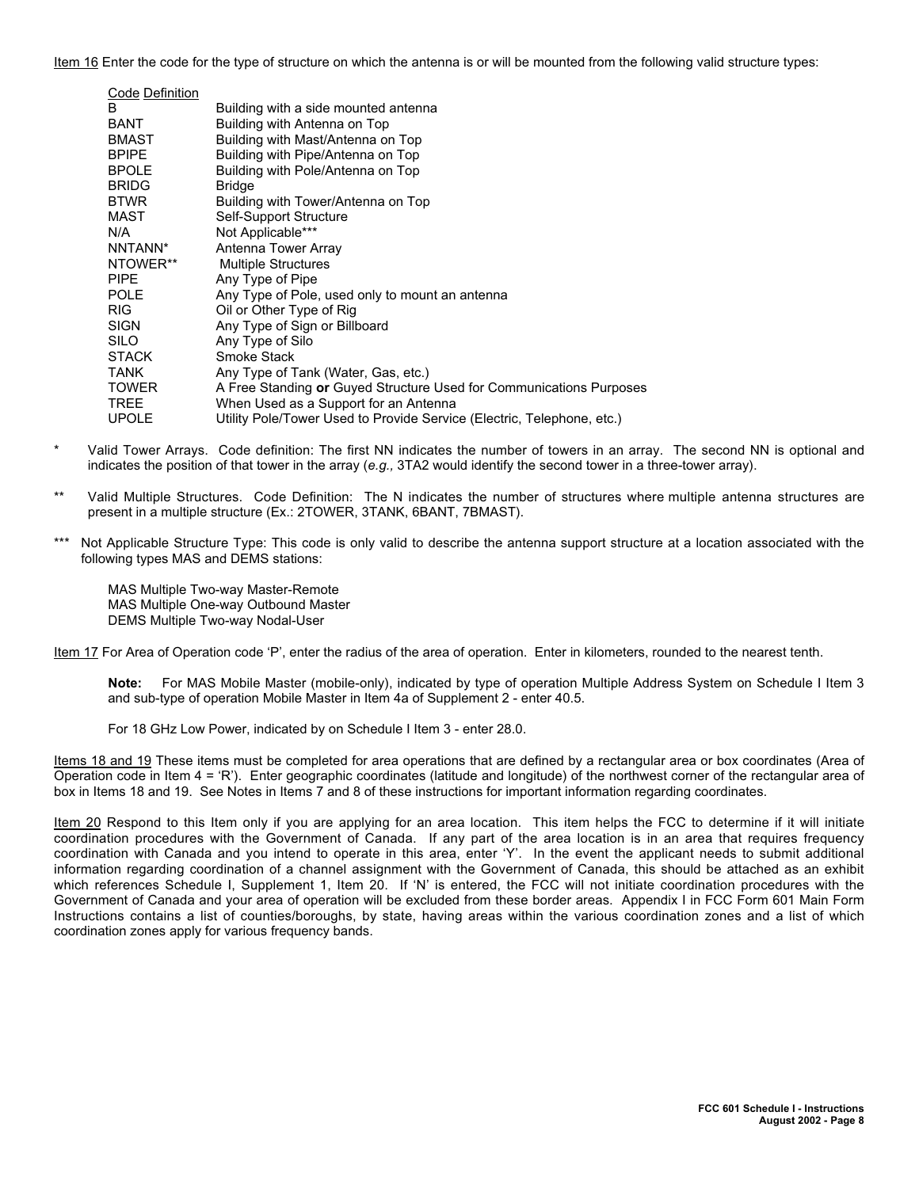Item 16 Enter the code for the type of structure on which the antenna is or will be mounted from the following valid structure types:

| Code Definition |                                                                        |
|-----------------|------------------------------------------------------------------------|
| В               | Building with a side mounted antenna                                   |
| BANT            | Building with Antenna on Top                                           |
| BMAST           | Building with Mast/Antenna on Top                                      |
| <b>BPIPE</b>    | Building with Pipe/Antenna on Top                                      |
| <b>BPOLE</b>    | Building with Pole/Antenna on Top                                      |
| <b>BRIDG</b>    | <b>Bridge</b>                                                          |
| <b>BTWR</b>     | Building with Tower/Antenna on Top                                     |
| MAST            | Self-Support Structure                                                 |
| N/A             | Not Applicable***                                                      |
| NNTANN*         | Antenna Tower Array                                                    |
| NTOWER**        | <b>Multiple Structures</b>                                             |
| PIPE.           | Any Type of Pipe                                                       |
| POLE            | Any Type of Pole, used only to mount an antenna                        |
| RIG             | Oil or Other Type of Rig                                               |
| SIGN            | Any Type of Sign or Billboard                                          |
| SILO            | Any Type of Silo                                                       |
| STACK           | Smoke Stack                                                            |
| TANK            | Any Type of Tank (Water, Gas, etc.)                                    |
| TOWER           | A Free Standing or Guyed Structure Used for Communications Purposes    |
| TREE            | When Used as a Support for an Antenna                                  |
| <b>UPOLE</b>    | Utility Pole/Tower Used to Provide Service (Electric, Telephone, etc.) |

- Valid Tower Arrays. Code definition: The first NN indicates the number of towers in an array. The second NN is optional and indicates the position of that tower in the array (*e.g.,* 3TA2 would identify the second tower in a three-tower array).
- \*\* Valid Multiple Structures. Code Definition: The N indicates the number of structures where multiple antenna structures are present in a multiple structure (Ex.: 2TOWER, 3TANK, 6BANT, 7BMAST).
- \*\*\* Not Applicable Structure Type: This code is only valid to describe the antenna support structure at a location associated with the following types MAS and DEMS stations:

MAS Multiple Two-way Master-Remote MAS Multiple One-way Outbound Master DEMS Multiple Two-way Nodal-User

Item 17 For Area of Operation code 'P', enter the radius of the area of operation. Enter in kilometers, rounded to the nearest tenth.

**Note:** For MAS Mobile Master (mobile-only), indicated by type of operation Multiple Address System on Schedule I Item 3 and sub-type of operation Mobile Master in Item 4a of Supplement 2 - enter 40.5.

For 18 GHz Low Power, indicated by on Schedule I Item 3 - enter 28.0.

Items 18 and 19 These items must be completed for area operations that are defined by a rectangular area or box coordinates (Area of Operation code in Item 4 = 'R'). Enter geographic coordinates (latitude and longitude) of the northwest corner of the rectangular area of box in Items 18 and 19. See Notes in Items 7 and 8 of these instructions for important information regarding coordinates.

Item 20 Respond to this Item only if you are applying for an area location. This item helps the FCC to determine if it will initiate coordination procedures with the Government of Canada. If any part of the area location is in an area that requires frequency coordination with Canada and you intend to operate in this area, enter 'Y'. In the event the applicant needs to submit additional information regarding coordination of a channel assignment with the Government of Canada, this should be attached as an exhibit which references Schedule I, Supplement 1, Item 20. If 'N' is entered, the FCC will not initiate coordination procedures with the Government of Canada and your area of operation will be excluded from these border areas. Appendix I in FCC Form 601 Main Form Instructions contains a list of counties/boroughs, by state, having areas within the various coordination zones and a list of which coordination zones apply for various frequency bands.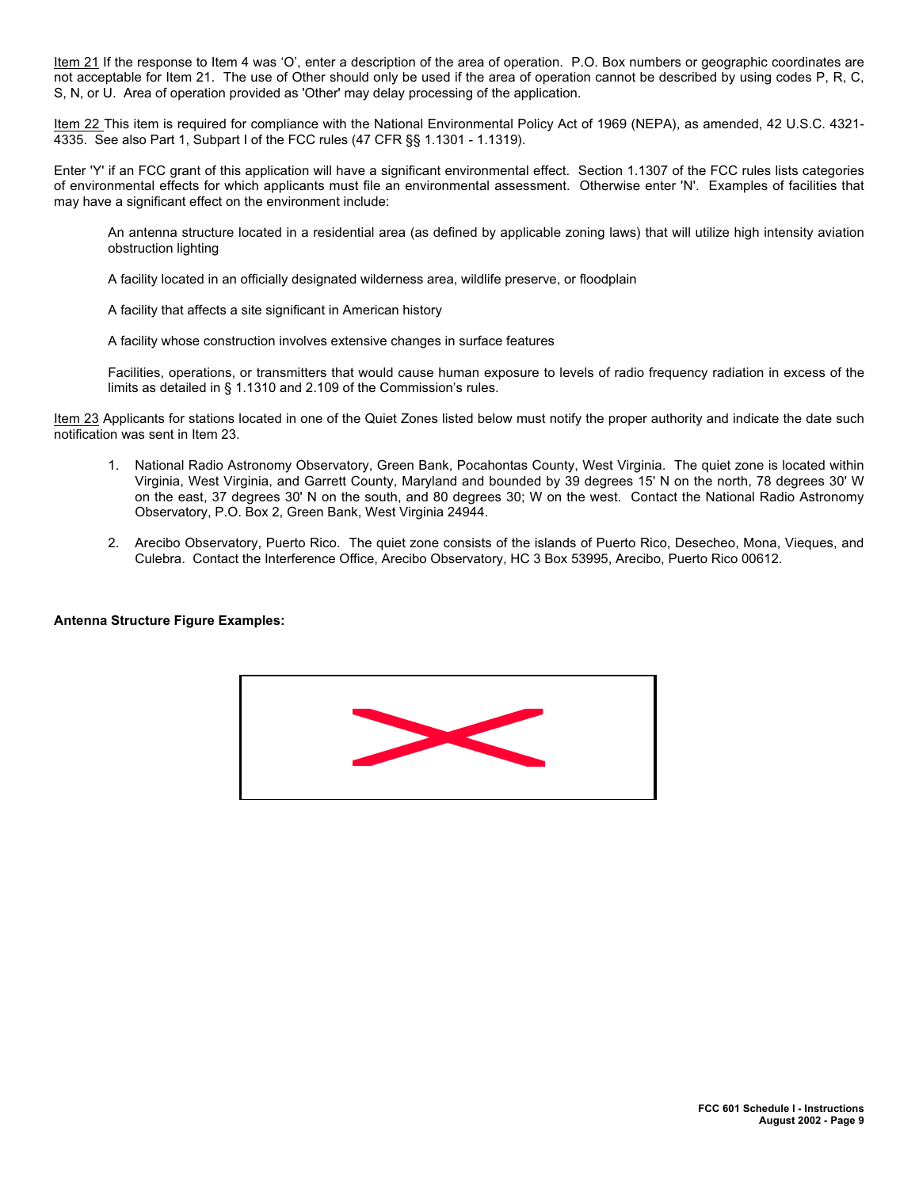Item 21 If the response to Item 4 was 'O', enter a description of the area of operation. P.O. Box numbers or geographic coordinates are not acceptable for Item 21. The use of Other should only be used if the area of operation cannot be described by using codes P, R, C, S, N, or U. Area of operation provided as 'Other' may delay processing of the application.

Item 22 This item is required for compliance with the National Environmental Policy Act of 1969 (NEPA), as amended, 42 U.S.C. 4321-4335. See also Part 1, Subpart I of the FCC rules (47 CFR §§ 1.1301 - 1.1319).

Enter 'Y' if an FCC grant of this application will have a significant environmental effect. Section 1.1307 of the FCC rules lists categories of environmental effects for which applicants must file an environmental assessment. Otherwise enter 'N'. Examples of facilities that may have a significant effect on the environment include:

An antenna structure located in a residential area (as defined by applicable zoning laws) that will utilize high intensity aviation obstruction lighting

A facility located in an officially designated wilderness area, wildlife preserve, or floodplain

A facility that affects a site significant in American history

A facility whose construction involves extensive changes in surface features

Facilities, operations, or transmitters that would cause human exposure to levels of radio frequency radiation in excess of the limits as detailed in § 1.1310 and 2.109 of the Commission's rules.

Item 23 Applicants for stations located in one of the Quiet Zones listed below must notify the proper authority and indicate the date such notification was sent in Item 23.

- 1. National Radio Astronomy Observatory, Green Bank, Pocahontas County, West Virginia. The quiet zone is located within Virginia, West Virginia, and Garrett County, Maryland and bounded by 39 degrees 15' N on the north, 78 degrees 30' W on the east, 37 degrees 30' N on the south, and 80 degrees 30; W on the west. Contact the National Radio Astronomy Observatory, P.O. Box 2, Green Bank, West Virginia 24944.
- 2. Arecibo Observatory, Puerto Rico. The quiet zone consists of the islands of Puerto Rico, Desecheo, Mona, Vieques, and Culebra. Contact the Interference Office, Arecibo Observatory, HC 3 Box 53995, Arecibo, Puerto Rico 00612.

**Antenna Structure Figure Examples:**

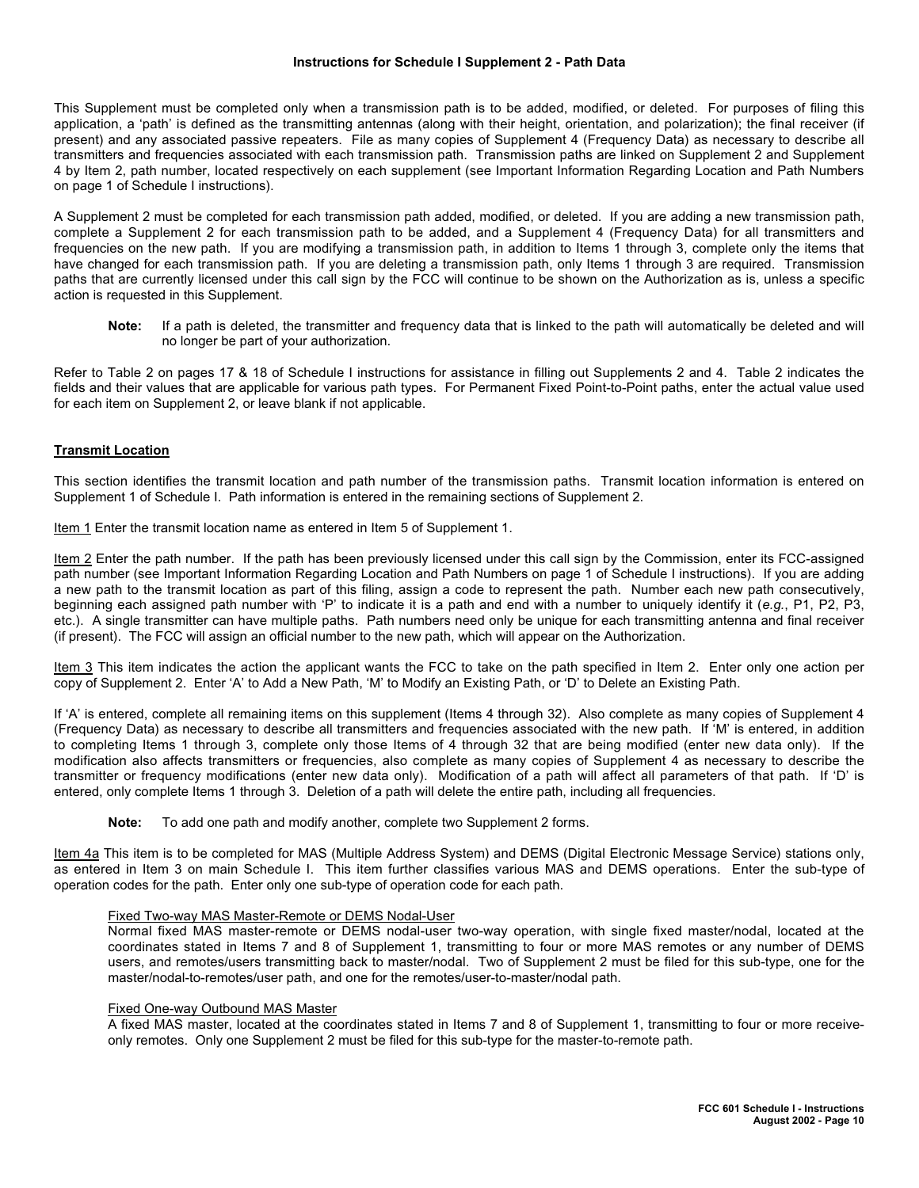#### **Instructions for Schedule I Supplement 2 - Path Data**

This Supplement must be completed only when a transmission path is to be added, modified, or deleted. For purposes of filing this application, a 'path' is defined as the transmitting antennas (along with their height, orientation, and polarization); the final receiver (if present) and any associated passive repeaters. File as many copies of Supplement 4 (Frequency Data) as necessary to describe all transmitters and frequencies associated with each transmission path. Transmission paths are linked on Supplement 2 and Supplement 4 by Item 2, path number, located respectively on each supplement (see Important Information Regarding Location and Path Numbers on page 1 of Schedule I instructions).

A Supplement 2 must be completed for each transmission path added, modified, or deleted. If you are adding a new transmission path, complete a Supplement 2 for each transmission path to be added, and a Supplement 4 (Frequency Data) for all transmitters and frequencies on the new path. If you are modifying a transmission path, in addition to Items 1 through 3, complete only the items that have changed for each transmission path. If you are deleting a transmission path, only Items 1 through 3 are required. Transmission paths that are currently licensed under this call sign by the FCC will continue to be shown on the Authorization as is, unless a specific action is requested in this Supplement.

**Note:** If a path is deleted, the transmitter and frequency data that is linked to the path will automatically be deleted and will no longer be part of your authorization.

Refer to Table 2 on pages 17 & 18 of Schedule I instructions for assistance in filling out Supplements 2 and 4. Table 2 indicates the fields and their values that are applicable for various path types. For Permanent Fixed Point-to-Point paths, enter the actual value used for each item on Supplement 2, or leave blank if not applicable.

## **Transmit Location**

This section identifies the transmit location and path number of the transmission paths. Transmit location information is entered on Supplement 1 of Schedule I. Path information is entered in the remaining sections of Supplement 2.

Item 1 Enter the transmit location name as entered in Item 5 of Supplement 1.

Item 2 Enter the path number. If the path has been previously licensed under this call sign by the Commission, enter its FCC-assigned path number (see Important Information Regarding Location and Path Numbers on page 1 of Schedule I instructions). If you are adding a new path to the transmit location as part of this filing, assign a code to represent the path. Number each new path consecutively, beginning each assigned path number with 'P' to indicate it is a path and end with a number to uniquely identify it (*e.g.*, P1, P2, P3, etc.). A single transmitter can have multiple paths. Path numbers need only be unique for each transmitting antenna and final receiver (if present). The FCC will assign an official number to the new path, which will appear on the Authorization.

Item 3 This item indicates the action the applicant wants the FCC to take on the path specified in Item 2. Enter only one action per copy of Supplement 2. Enter 'A' to Add a New Path, 'M' to Modify an Existing Path, or 'D' to Delete an Existing Path.

If 'A' is entered, complete all remaining items on this supplement (Items 4 through 32). Also complete as many copies of Supplement 4 (Frequency Data) as necessary to describe all transmitters and frequencies associated with the new path. If 'M' is entered, in addition to completing Items 1 through 3, complete only those Items of 4 through 32 that are being modified (enter new data only). If the modification also affects transmitters or frequencies, also complete as many copies of Supplement 4 as necessary to describe the transmitter or frequency modifications (enter new data only). Modification of a path will affect all parameters of that path. If 'D' is entered, only complete Items 1 through 3. Deletion of a path will delete the entire path, including all frequencies.

**Note:** To add one path and modify another, complete two Supplement 2 forms.

Item 4a This item is to be completed for MAS (Multiple Address System) and DEMS (Digital Electronic Message Service) stations only, as entered in Item 3 on main Schedule I. This item further classifies various MAS and DEMS operations. Enter the sub-type of operation codes for the path. Enter only one sub-type of operation code for each path.

## Fixed Two-way MAS Master-Remote or DEMS Nodal-User

Normal fixed MAS master-remote or DEMS nodal-user two-way operation, with single fixed master/nodal, located at the coordinates stated in Items 7 and 8 of Supplement 1, transmitting to four or more MAS remotes or any number of DEMS users, and remotes/users transmitting back to master/nodal. Two of Supplement 2 must be filed for this sub-type, one for the master/nodal-to-remotes/user path, and one for the remotes/user-to-master/nodal path.

#### Fixed One-way Outbound MAS Master

A fixed MAS master, located at the coordinates stated in Items 7 and 8 of Supplement 1, transmitting to four or more receiveonly remotes. Only one Supplement 2 must be filed for this sub-type for the master-to-remote path.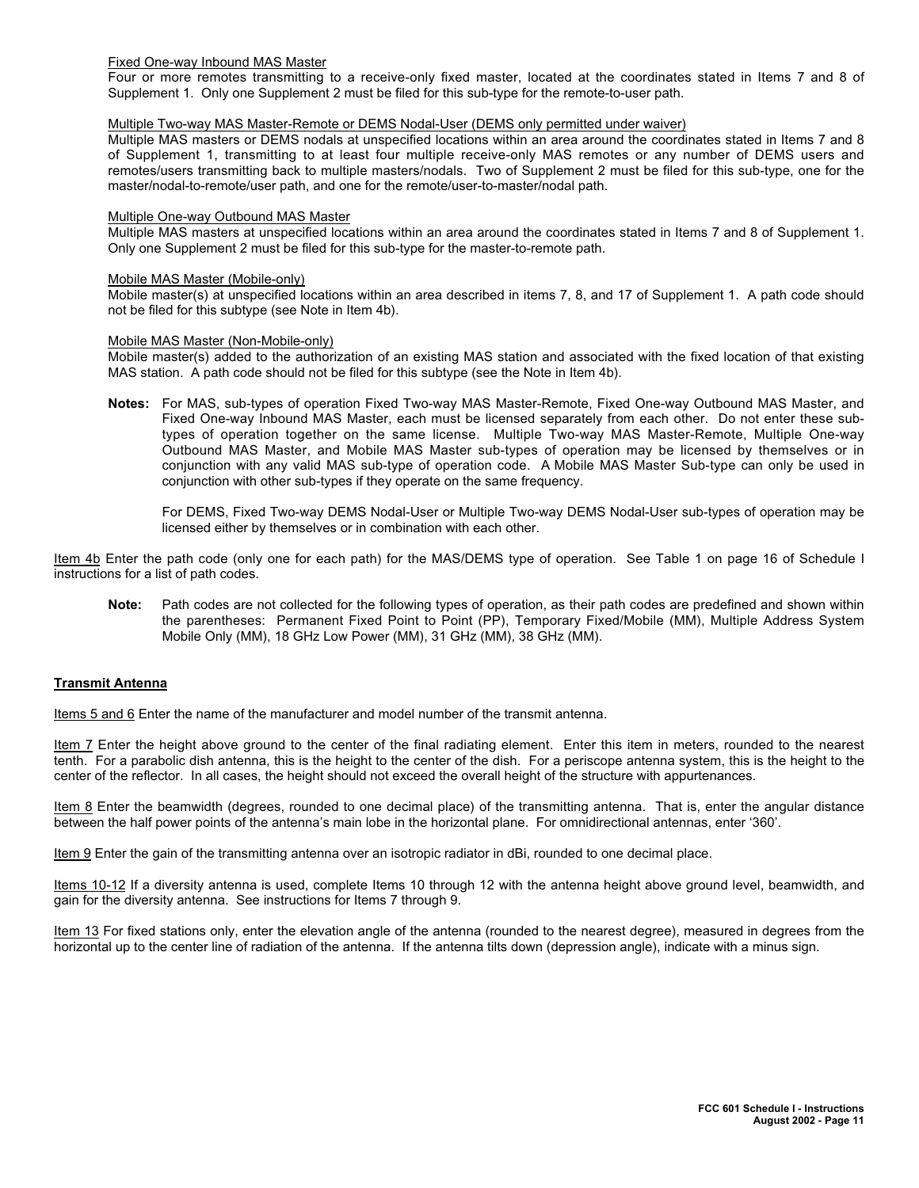#### Fixed One-way Inbound MAS Master

Four or more remotes transmitting to a receive-only fixed master, located at the coordinates stated in Items 7 and 8 of Supplement 1. Only one Supplement 2 must be filed for this sub-type for the remote-to-user path.

### Multiple Two-way MAS Master-Remote or DEMS Nodal-User (DEMS only permitted under waiver)

Multiple MAS masters or DEMS nodals at unspecified locations within an area around the coordinates stated in Items 7 and 8 of Supplement 1, transmitting to at least four multiple receive-only MAS remotes or any number of DEMS users and remotes/users transmitting back to multiple masters/nodals. Two of Supplement 2 must be filed for this sub-type, one for the master/nodal-to-remote/user path, and one for the remote/user-to-master/nodal path.

#### Multiple One-way Outbound MAS Master

Multiple MAS masters at unspecified locations within an area around the coordinates stated in Items 7 and 8 of Supplement 1. Only one Supplement 2 must be filed for this sub-type for the master-to-remote path.

### Mobile MAS Master (Mobile-only)

Mobile master(s) at unspecified locations within an area described in items 7, 8, and 17 of Supplement 1. A path code should not be filed for this subtype (see Note in Item 4b).

#### Mobile MAS Master (Non-Mobile-only)

Mobile master(s) added to the authorization of an existing MAS station and associated with the fixed location of that existing MAS station. A path code should not be filed for this subtype (see the Note in Item 4b).

**Notes:** For MAS, sub-types of operation Fixed Two-way MAS Master-Remote, Fixed One-way Outbound MAS Master, and Fixed One-way Inbound MAS Master, each must be licensed separately from each other. Do not enter these subtypes of operation together on the same license. Multiple Two-way MAS Master-Remote, Multiple One-way Outbound MAS Master, and Mobile MAS Master sub-types of operation may be licensed by themselves or in conjunction with any valid MAS sub-type of operation code. A Mobile MAS Master Sub-type can only be used in conjunction with other sub-types if they operate on the same frequency.

For DEMS, Fixed Two-way DEMS Nodal-User or Multiple Two-way DEMS Nodal-User sub-types of operation may be licensed either by themselves or in combination with each other.

Item 4b Enter the path code (only one for each path) for the MAS/DEMS type of operation. See Table 1 on page 16 of Schedule I instructions for a list of path codes.

**Note:** Path codes are not collected for the following types of operation, as their path codes are predefined and shown within the parentheses: Permanent Fixed Point to Point (PP), Temporary Fixed/Mobile (MM), Multiple Address System Mobile Only (MM), 18 GHz Low Power (MM), 31 GHz (MM), 38 GHz (MM).

#### **Transmit Antenna**

Items 5 and 6 Enter the name of the manufacturer and model number of the transmit antenna.

Item 7 Enter the height above ground to the center of the final radiating element. Enter this item in meters, rounded to the nearest tenth. For a parabolic dish antenna, this is the height to the center of the dish. For a periscope antenna system, this is the height to the center of the reflector. In all cases, the height should not exceed the overall height of the structure with appurtenances.

Item 8 Enter the beamwidth (degrees, rounded to one decimal place) of the transmitting antenna. That is, enter the angular distance between the half power points of the antenna's main lobe in the horizontal plane. For omnidirectional antennas, enter '360'.

Item 9 Enter the gain of the transmitting antenna over an isotropic radiator in dBi, rounded to one decimal place.

Items 10-12 If a diversity antenna is used, complete Items 10 through 12 with the antenna height above ground level, beamwidth, and gain for the diversity antenna. See instructions for Items 7 through 9.

Item 13 For fixed stations only, enter the elevation angle of the antenna (rounded to the nearest degree), measured in degrees from the horizontal up to the center line of radiation of the antenna. If the antenna tilts down (depression angle), indicate with a minus sign.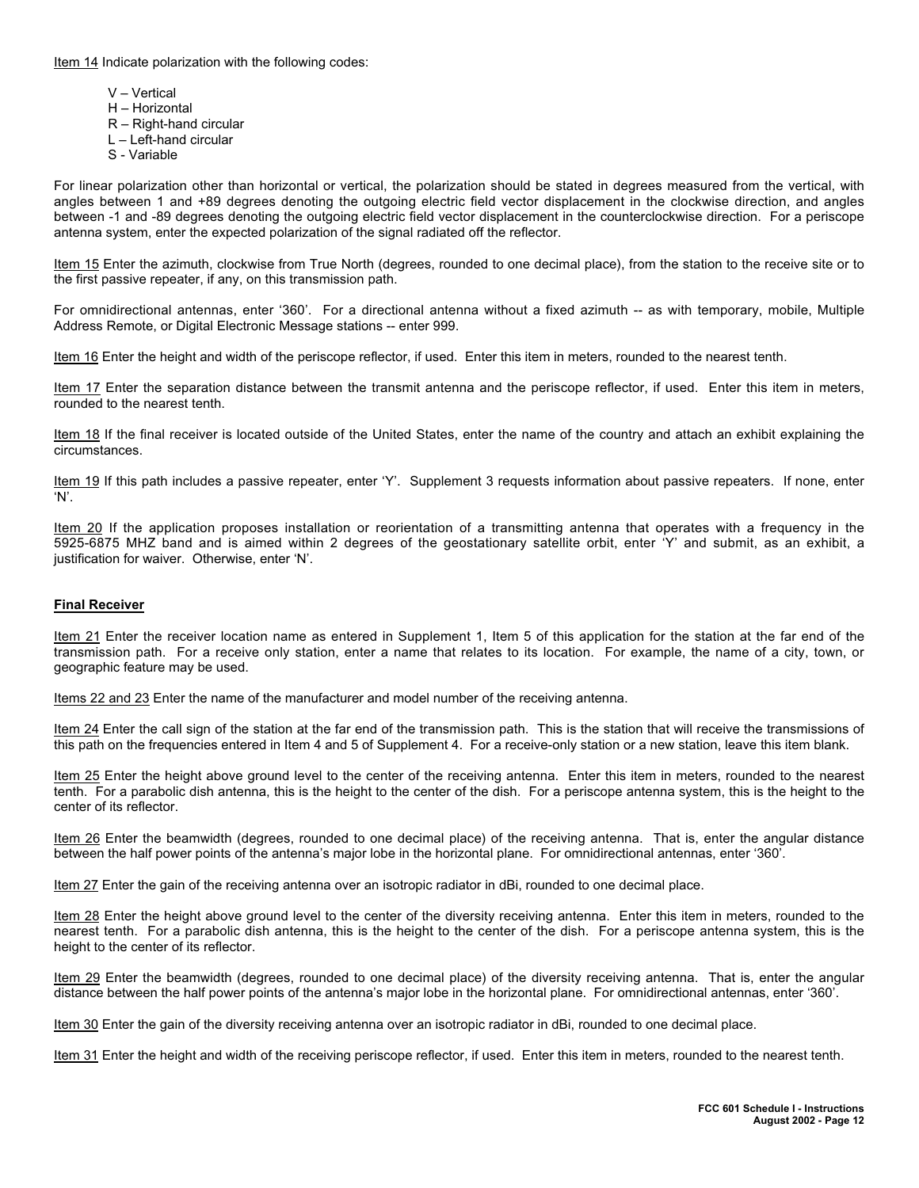Item 14 Indicate polarization with the following codes:

V – Vertical H – Horizontal R – Right-hand circular L – Left-hand circular S - Variable

For linear polarization other than horizontal or vertical, the polarization should be stated in degrees measured from the vertical, with angles between 1 and +89 degrees denoting the outgoing electric field vector displacement in the clockwise direction, and angles between -1 and -89 degrees denoting the outgoing electric field vector displacement in the counterclockwise direction. For a periscope antenna system, enter the expected polarization of the signal radiated off the reflector.

Item 15 Enter the azimuth, clockwise from True North (degrees, rounded to one decimal place), from the station to the receive site or to the first passive repeater, if any, on this transmission path.

For omnidirectional antennas, enter '360'. For a directional antenna without a fixed azimuth -- as with temporary, mobile, Multiple Address Remote, or Digital Electronic Message stations -- enter 999.

Item 16 Enter the height and width of the periscope reflector, if used. Enter this item in meters, rounded to the nearest tenth.

Item 17 Enter the separation distance between the transmit antenna and the periscope reflector, if used. Enter this item in meters, rounded to the nearest tenth.

Item 18 If the final receiver is located outside of the United States, enter the name of the country and attach an exhibit explaining the circumstances.

Item 19 If this path includes a passive repeater, enter 'Y'. Supplement 3 requests information about passive repeaters. If none, enter 'N'.

Item 20 If the application proposes installation or reorientation of a transmitting antenna that operates with a frequency in the 5925-6875 MHZ band and is aimed within 2 degrees of the geostationary satellite orbit, enter 'Y' and submit, as an exhibit, a justification for waiver. Otherwise, enter 'N'.

### **Final Receiver**

Item 21 Enter the receiver location name as entered in Supplement 1, Item 5 of this application for the station at the far end of the transmission path. For a receive only station, enter a name that relates to its location. For example, the name of a city, town, or geographic feature may be used.

Items 22 and 23 Enter the name of the manufacturer and model number of the receiving antenna.

Item 24 Enter the call sign of the station at the far end of the transmission path. This is the station that will receive the transmissions of this path on the frequencies entered in Item 4 and 5 of Supplement 4. For a receive-only station or a new station, leave this item blank.

Item 25 Enter the height above ground level to the center of the receiving antenna. Enter this item in meters, rounded to the nearest tenth. For a parabolic dish antenna, this is the height to the center of the dish. For a periscope antenna system, this is the height to the center of its reflector.

Item 26 Enter the beamwidth (degrees, rounded to one decimal place) of the receiving antenna. That is, enter the angular distance between the half power points of the antenna's major lobe in the horizontal plane. For omnidirectional antennas, enter '360'.

Item 27 Enter the gain of the receiving antenna over an isotropic radiator in dBi, rounded to one decimal place.

Item 28 Enter the height above ground level to the center of the diversity receiving antenna. Enter this item in meters, rounded to the nearest tenth. For a parabolic dish antenna, this is the height to the center of the dish. For a periscope antenna system, this is the height to the center of its reflector.

Item 29 Enter the beamwidth (degrees, rounded to one decimal place) of the diversity receiving antenna. That is, enter the angular distance between the half power points of the antenna's major lobe in the horizontal plane. For omnidirectional antennas, enter '360'.

Item 30 Enter the gain of the diversity receiving antenna over an isotropic radiator in dBi, rounded to one decimal place.

Item 31 Enter the height and width of the receiving periscope reflector, if used. Enter this item in meters, rounded to the nearest tenth.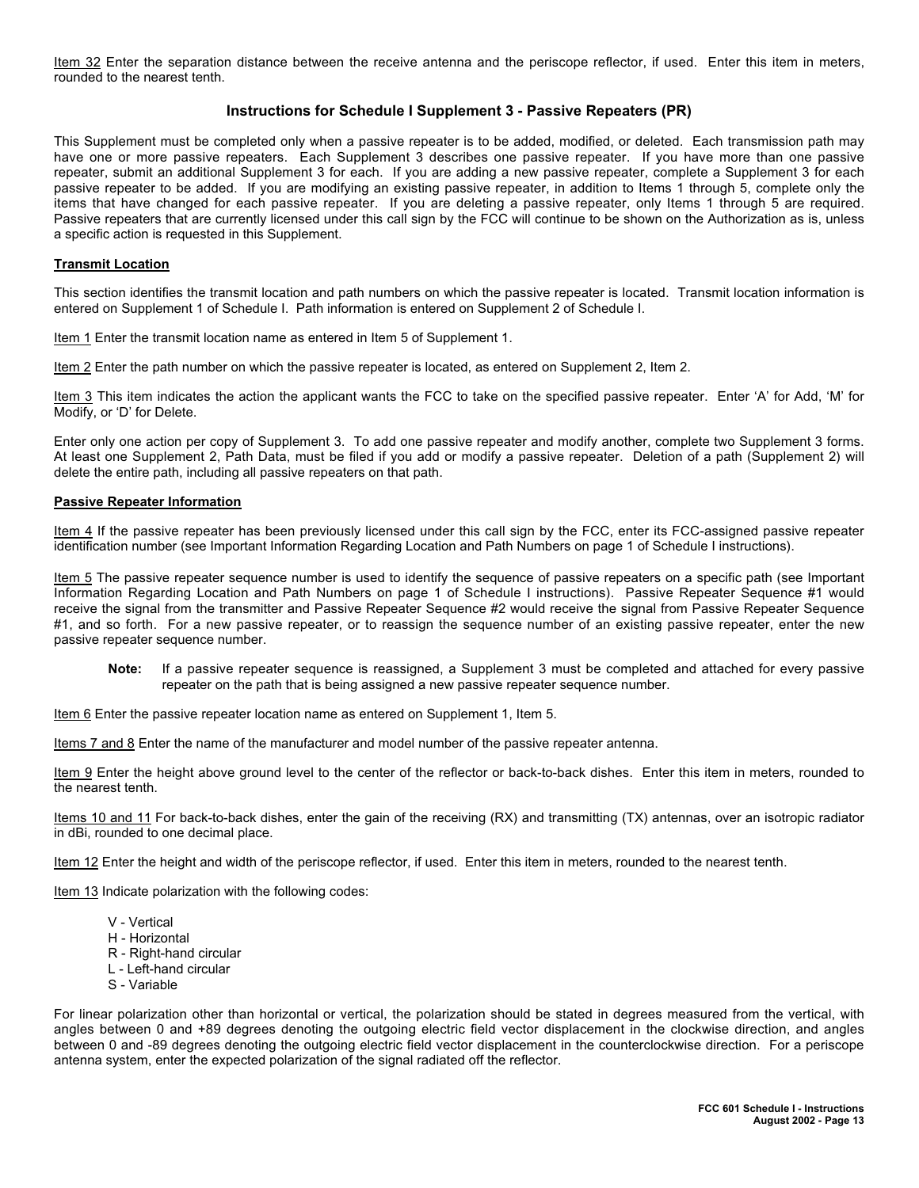Item 32 Enter the separation distance between the receive antenna and the periscope reflector, if used. Enter this item in meters, rounded to the nearest tenth.

## **Instructions for Schedule I Supplement 3 - Passive Repeaters (PR)**

This Supplement must be completed only when a passive repeater is to be added, modified, or deleted. Each transmission path may have one or more passive repeaters. Each Supplement 3 describes one passive repeater. If you have more than one passive repeater, submit an additional Supplement 3 for each. If you are adding a new passive repeater, complete a Supplement 3 for each passive repeater to be added. If you are modifying an existing passive repeater, in addition to Items 1 through 5, complete only the items that have changed for each passive repeater. If you are deleting a passive repeater, only Items 1 through 5 are required. Passive repeaters that are currently licensed under this call sign by the FCC will continue to be shown on the Authorization as is, unless a specific action is requested in this Supplement.

#### **Transmit Location**

This section identifies the transmit location and path numbers on which the passive repeater is located. Transmit location information is entered on Supplement 1 of Schedule I. Path information is entered on Supplement 2 of Schedule I.

Item 1 Enter the transmit location name as entered in Item 5 of Supplement 1.

Item 2 Enter the path number on which the passive repeater is located, as entered on Supplement 2, Item 2.

Item 3 This item indicates the action the applicant wants the FCC to take on the specified passive repeater. Enter 'A' for Add, 'M' for Modify, or 'D' for Delete.

Enter only one action per copy of Supplement 3. To add one passive repeater and modify another, complete two Supplement 3 forms. At least one Supplement 2, Path Data, must be filed if you add or modify a passive repeater. Deletion of a path (Supplement 2) will delete the entire path, including all passive repeaters on that path.

#### **Passive Repeater Information**

Item 4 If the passive repeater has been previously licensed under this call sign by the FCC, enter its FCC-assigned passive repeater identification number (see Important Information Regarding Location and Path Numbers on page 1 of Schedule I instructions).

Item 5 The passive repeater sequence number is used to identify the sequence of passive repeaters on a specific path (see Important Information Regarding Location and Path Numbers on page 1 of Schedule I instructions). Passive Repeater Sequence #1 would receive the signal from the transmitter and Passive Repeater Sequence #2 would receive the signal from Passive Repeater Sequence #1, and so forth. For a new passive repeater, or to reassign the sequence number of an existing passive repeater, enter the new passive repeater sequence number.

**Note:** If a passive repeater sequence is reassigned, a Supplement 3 must be completed and attached for every passive repeater on the path that is being assigned a new passive repeater sequence number.

Item 6 Enter the passive repeater location name as entered on Supplement 1, Item 5.

Items 7 and 8 Enter the name of the manufacturer and model number of the passive repeater antenna.

Item 9 Enter the height above ground level to the center of the reflector or back-to-back dishes. Enter this item in meters, rounded to the nearest tenth.

Items 10 and 11 For back-to-back dishes, enter the gain of the receiving (RX) and transmitting (TX) antennas, over an isotropic radiator in dBi, rounded to one decimal place.

Item 12 Enter the height and width of the periscope reflector, if used. Enter this item in meters, rounded to the nearest tenth.

Item 13 Indicate polarization with the following codes:

- V Vertical
- H Horizontal
- R Right-hand circular
- L Left-hand circular
- S Variable

For linear polarization other than horizontal or vertical, the polarization should be stated in degrees measured from the vertical, with angles between 0 and +89 degrees denoting the outgoing electric field vector displacement in the clockwise direction, and angles between 0 and -89 degrees denoting the outgoing electric field vector displacement in the counterclockwise direction. For a periscope antenna system, enter the expected polarization of the signal radiated off the reflector.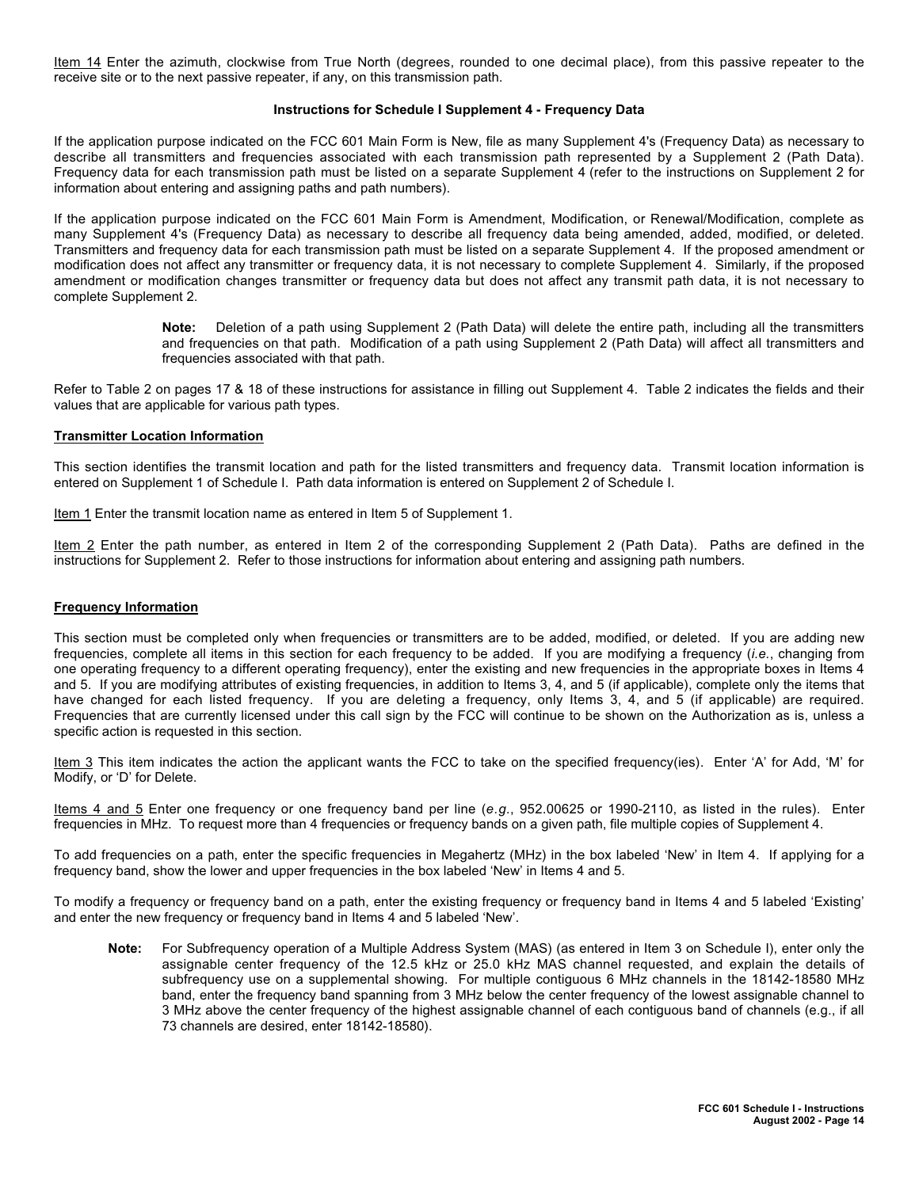Item 14 Enter the azimuth, clockwise from True North (degrees, rounded to one decimal place), from this passive repeater to the receive site or to the next passive repeater, if any, on this transmission path.

#### **Instructions for Schedule I Supplement 4 - Frequency Data**

If the application purpose indicated on the FCC 601 Main Form is New, file as many Supplement 4's (Frequency Data) as necessary to describe all transmitters and frequencies associated with each transmission path represented by a Supplement 2 (Path Data). Frequency data for each transmission path must be listed on a separate Supplement 4 (refer to the instructions on Supplement 2 for information about entering and assigning paths and path numbers).

If the application purpose indicated on the FCC 601 Main Form is Amendment, Modification, or Renewal/Modification, complete as many Supplement 4's (Frequency Data) as necessary to describe all frequency data being amended, added, modified, or deleted. Transmitters and frequency data for each transmission path must be listed on a separate Supplement 4. If the proposed amendment or modification does not affect any transmitter or frequency data, it is not necessary to complete Supplement 4. Similarly, if the proposed amendment or modification changes transmitter or frequency data but does not affect any transmit path data, it is not necessary to complete Supplement 2.

> **Note:** Deletion of a path using Supplement 2 (Path Data) will delete the entire path, including all the transmitters and frequencies on that path. Modification of a path using Supplement 2 (Path Data) will affect all transmitters and frequencies associated with that path.

Refer to Table 2 on pages 17 & 18 of these instructions for assistance in filling out Supplement 4. Table 2 indicates the fields and their values that are applicable for various path types.

#### **Transmitter Location Information**

This section identifies the transmit location and path for the listed transmitters and frequency data. Transmit location information is entered on Supplement 1 of Schedule I. Path data information is entered on Supplement 2 of Schedule I.

Item 1 Enter the transmit location name as entered in Item 5 of Supplement 1.

Item 2 Enter the path number, as entered in Item 2 of the corresponding Supplement 2 (Path Data). Paths are defined in the instructions for Supplement 2. Refer to those instructions for information about entering and assigning path numbers.

#### **Frequency Information**

This section must be completed only when frequencies or transmitters are to be added, modified, or deleted. If you are adding new frequencies, complete all items in this section for each frequency to be added. If you are modifying a frequency (*i.e.*, changing from one operating frequency to a different operating frequency), enter the existing and new frequencies in the appropriate boxes in Items 4 and 5. If you are modifying attributes of existing frequencies, in addition to Items 3, 4, and 5 (if applicable), complete only the items that have changed for each listed frequency. If you are deleting a frequency, only Items 3, 4, and 5 (if applicable) are required. Frequencies that are currently licensed under this call sign by the FCC will continue to be shown on the Authorization as is, unless a specific action is requested in this section.

Item 3 This item indicates the action the applicant wants the FCC to take on the specified frequency(ies). Enter 'A' for Add, 'M' for Modify, or 'D' for Delete.

Items 4 and 5 Enter one frequency or one frequency band per line (*e.g.*, 952.00625 or 1990-2110, as listed in the rules). Enter frequencies in MHz. To request more than 4 frequencies or frequency bands on a given path, file multiple copies of Supplement 4.

To add frequencies on a path, enter the specific frequencies in Megahertz (MHz) in the box labeled 'New' in Item 4. If applying for a frequency band, show the lower and upper frequencies in the box labeled 'New' in Items 4 and 5.

To modify a frequency or frequency band on a path, enter the existing frequency or frequency band in Items 4 and 5 labeled 'Existing' and enter the new frequency or frequency band in Items 4 and 5 labeled 'New'.

**Note:** For Subfrequency operation of a Multiple Address System (MAS) (as entered in Item 3 on Schedule I), enter only the assignable center frequency of the 12.5 kHz or 25.0 kHz MAS channel requested, and explain the details of subfrequency use on a supplemental showing. For multiple contiguous 6 MHz channels in the 18142-18580 MHz band, enter the frequency band spanning from 3 MHz below the center frequency of the lowest assignable channel to 3 MHz above the center frequency of the highest assignable channel of each contiguous band of channels (e.g., if all 73 channels are desired, enter 18142-18580).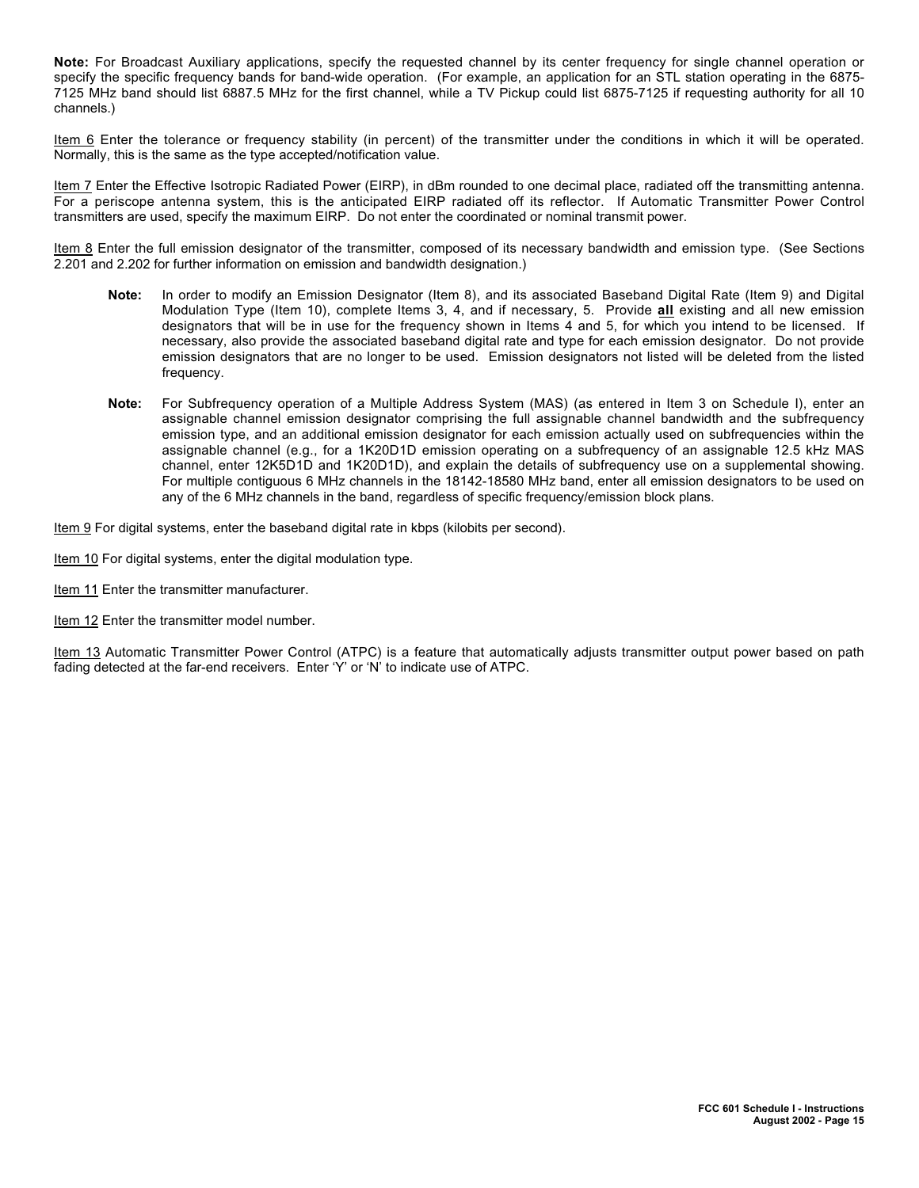**Note:** For Broadcast Auxiliary applications, specify the requested channel by its center frequency for single channel operation or specify the specific frequency bands for band-wide operation. (For example, an application for an STL station operating in the 6875- 7125 MHz band should list 6887.5 MHz for the first channel, while a TV Pickup could list 6875-7125 if requesting authority for all 10 channels.)

Item 6 Enter the tolerance or frequency stability (in percent) of the transmitter under the conditions in which it will be operated. Normally, this is the same as the type accepted/notification value.

Item 7 Enter the Effective Isotropic Radiated Power (EIRP), in dBm rounded to one decimal place, radiated off the transmitting antenna. For a periscope antenna system, this is the anticipated EIRP radiated off its reflector. If Automatic Transmitter Power Control transmitters are used, specify the maximum EIRP. Do not enter the coordinated or nominal transmit power.

Item 8 Enter the full emission designator of the transmitter, composed of its necessary bandwidth and emission type. (See Sections 2.201 and 2.202 for further information on emission and bandwidth designation.)

- **Note:** In order to modify an Emission Designator (Item 8), and its associated Baseband Digital Rate (Item 9) and Digital Modulation Type (Item 10), complete Items 3, 4, and if necessary, 5. Provide **all** existing and all new emission designators that will be in use for the frequency shown in Items 4 and 5, for which you intend to be licensed. If necessary, also provide the associated baseband digital rate and type for each emission designator. Do not provide emission designators that are no longer to be used. Emission designators not listed will be deleted from the listed frequency.
- **Note:** For Subfrequency operation of a Multiple Address System (MAS) (as entered in Item 3 on Schedule I), enter an assignable channel emission designator comprising the full assignable channel bandwidth and the subfrequency emission type, and an additional emission designator for each emission actually used on subfrequencies within the assignable channel (e.g., for a 1K20D1D emission operating on a subfrequency of an assignable 12.5 kHz MAS channel, enter 12K5D1D and 1K20D1D), and explain the details of subfrequency use on a supplemental showing. For multiple contiguous 6 MHz channels in the 18142-18580 MHz band, enter all emission designators to be used on any of the 6 MHz channels in the band, regardless of specific frequency/emission block plans.

Item 9 For digital systems, enter the baseband digital rate in kbps (kilobits per second).

Item 10 For digital systems, enter the digital modulation type.

Item 11 Enter the transmitter manufacturer.

Item 12 Enter the transmitter model number.

Item 13 Automatic Transmitter Power Control (ATPC) is a feature that automatically adjusts transmitter output power based on path fading detected at the far-end receivers. Enter 'Y' or 'N' to indicate use of ATPC.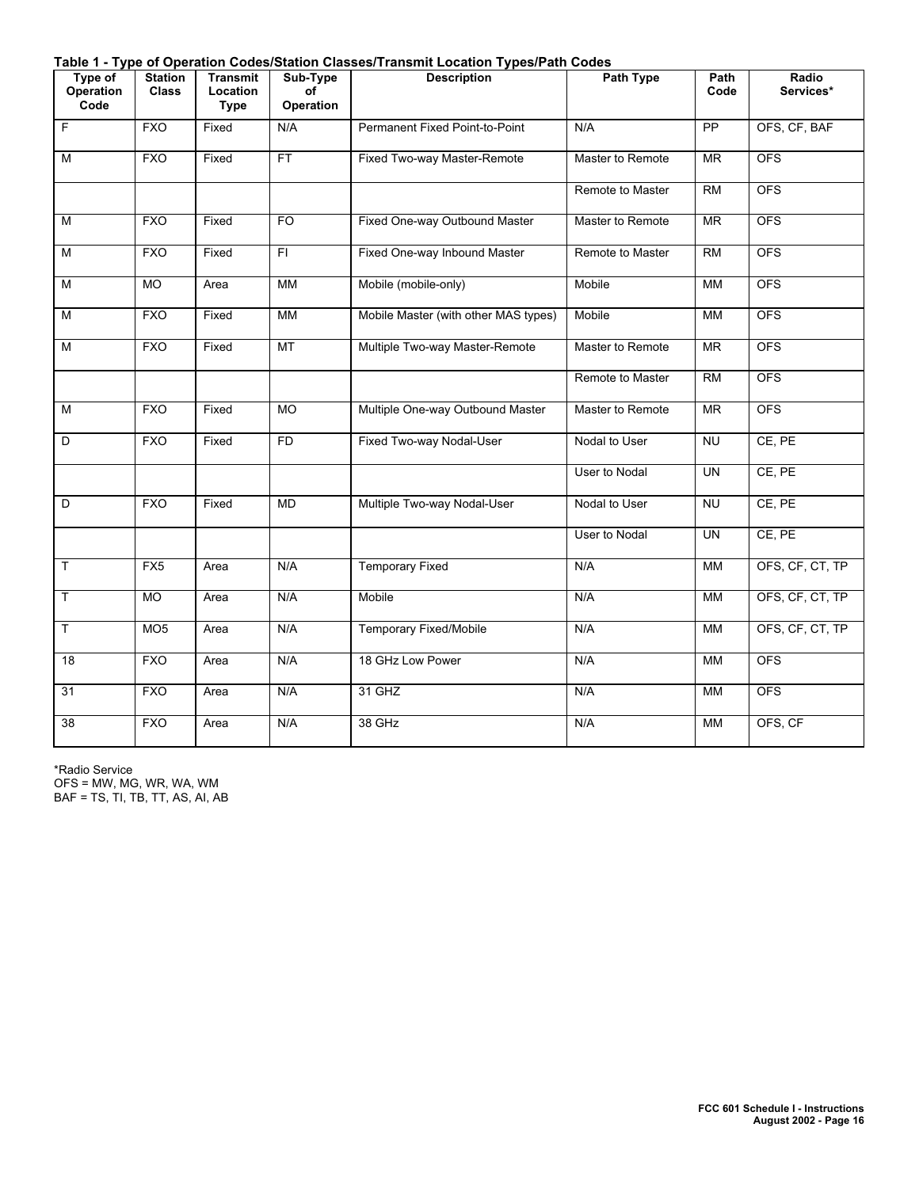**Table 1 - Type of Operation Codes/Station Classes/Transmit Location Types/Path Codes**

| Type of<br><b>Operation</b><br>Code | <b>Station</b><br><b>Class</b> | Transmit<br>Location<br><b>Type</b> | Sub-Type<br>of<br><b>Operation</b> | rable 1 - Type of Operation Oodes/Olation Olasses/Transmit Eocation Types/Fath Oodes<br><b>Description</b> | Path Type        | Path<br>Code | Radio<br>Services* |
|-------------------------------------|--------------------------------|-------------------------------------|------------------------------------|------------------------------------------------------------------------------------------------------------|------------------|--------------|--------------------|
| F                                   | <b>FXO</b>                     | Fixed                               | N/A                                | Permanent Fixed Point-to-Point                                                                             | N/A              | PP           | OFS, CF, BAF       |
| M                                   | <b>FXO</b>                     | Fixed                               | FT.                                | Fixed Two-way Master-Remote                                                                                | Master to Remote | MR           | <b>OFS</b>         |
|                                     |                                |                                     |                                    |                                                                                                            | Remote to Master | <b>RM</b>    | <b>OFS</b>         |
| ${\sf M}$                           | <b>FXO</b>                     | Fixed                               | FO                                 | Fixed One-way Outbound Master                                                                              | Master to Remote | MR           | <b>OFS</b>         |
| M                                   | <b>FXO</b>                     | Fixed                               | FI.                                | Fixed One-way Inbound Master                                                                               | Remote to Master | <b>RM</b>    | <b>OFS</b>         |
| M                                   | <b>MO</b>                      | Area                                | MM                                 | Mobile (mobile-only)                                                                                       | Mobile           | MM           | <b>OFS</b>         |
| M                                   | <b>FXO</b>                     | Fixed                               | <b>MM</b>                          | Mobile Master (with other MAS types)                                                                       | Mobile           | <b>MM</b>    | <b>OFS</b>         |
| M                                   | <b>FXO</b>                     | Fixed                               | MT                                 | Multiple Two-way Master-Remote                                                                             | Master to Remote | <b>MR</b>    | <b>OFS</b>         |
|                                     |                                |                                     |                                    |                                                                                                            | Remote to Master | RM           | <b>OFS</b>         |
| M                                   | <b>FXO</b>                     | Fixed                               | <b>MO</b>                          | Multiple One-way Outbound Master                                                                           | Master to Remote | <b>MR</b>    | <b>OFS</b>         |
| D                                   | <b>FXO</b>                     | Fixed                               | FD.                                | Fixed Two-way Nodal-User                                                                                   | Nodal to User    | <b>NU</b>    | CE, PE             |
|                                     |                                |                                     |                                    |                                                                                                            | User to Nodal    | <b>UN</b>    | CE, PE             |
| D                                   | <b>FXO</b>                     | Fixed                               | <b>MD</b>                          | Multiple Two-way Nodal-User                                                                                | Nodal to User    | <b>NU</b>    | CE, PE             |
|                                     |                                |                                     |                                    |                                                                                                            | User to Nodal    | <b>UN</b>    | CE, PE             |
| T.                                  | FX5                            | Area                                | N/A                                | <b>Temporary Fixed</b>                                                                                     | N/A              | MM           | OFS, CF, CT, TP    |
| T.                                  | <b>MO</b>                      | Area                                | N/A                                | Mobile                                                                                                     | N/A              | MM           | OFS, CF, CT, TP    |
| $\mathsf{T}$                        | MO <sub>5</sub>                | Area                                | N/A                                | <b>Temporary Fixed/Mobile</b>                                                                              | N/A              | МM           | OFS, CF, CT, TP    |
| $\overline{18}$                     | <b>FXO</b>                     | Area                                | N/A                                | 18 GHz Low Power                                                                                           | N/A              | MM           | <b>OFS</b>         |
| 31                                  | <b>FXO</b>                     | Area                                | N/A                                | 31 GHZ                                                                                                     | N/A              | MM           | <b>OFS</b>         |
| 38                                  | <b>FXO</b>                     | Area                                | N/A                                | 38 GHz                                                                                                     | N/A              | <b>MM</b>    | OFS, CF            |

\*Radio Service OFS = MW, MG, WR, WA, WM BAF = TS, TI, TB, TT, AS, AI, AB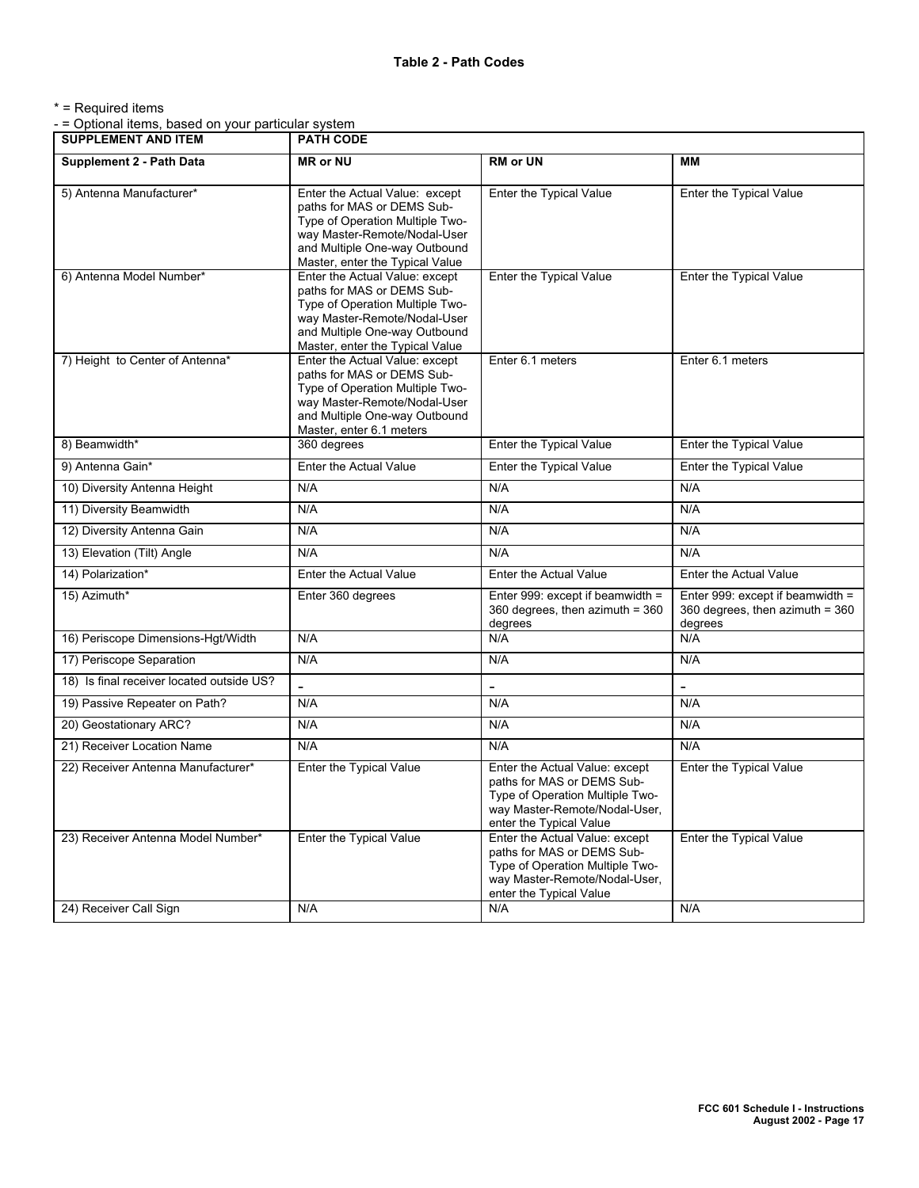\* = Required items

- = Optional items, based on your particular system

| <b>SUPPLEMENT AND ITEM</b>                | <b>PATH CODE</b>                                                                                                                                                                                    |                                                                                                                                                             |                                                                                |  |
|-------------------------------------------|-----------------------------------------------------------------------------------------------------------------------------------------------------------------------------------------------------|-------------------------------------------------------------------------------------------------------------------------------------------------------------|--------------------------------------------------------------------------------|--|
| <b>Supplement 2 - Path Data</b>           | <b>MR</b> or NU                                                                                                                                                                                     | <b>RM or UN</b>                                                                                                                                             | MМ                                                                             |  |
| 5) Antenna Manufacturer*                  | Enter the Actual Value: except<br>paths for MAS or DEMS Sub-<br>Type of Operation Multiple Two-<br>way Master-Remote/Nodal-User<br>and Multiple One-way Outbound<br>Master, enter the Typical Value | Enter the Typical Value                                                                                                                                     | Enter the Typical Value                                                        |  |
| 6) Antenna Model Number*                  | Enter the Actual Value: except<br>paths for MAS or DEMS Sub-<br>Type of Operation Multiple Two-<br>way Master-Remote/Nodal-User<br>and Multiple One-way Outbound<br>Master, enter the Typical Value | Enter the Typical Value                                                                                                                                     | Enter the Typical Value                                                        |  |
| 7) Height to Center of Antenna*           | Enter the Actual Value: except<br>paths for MAS or DEMS Sub-<br>Type of Operation Multiple Two-<br>way Master-Remote/Nodal-User<br>and Multiple One-way Outbound<br>Master, enter 6.1 meters        | Enter 6.1 meters                                                                                                                                            | Enter 6.1 meters                                                               |  |
| 8) Beamwidth*                             | 360 degrees                                                                                                                                                                                         | Enter the Typical Value                                                                                                                                     | Enter the Typical Value                                                        |  |
| 9) Antenna Gain*                          | Enter the Actual Value                                                                                                                                                                              | Enter the Typical Value                                                                                                                                     | Enter the Typical Value                                                        |  |
| 10) Diversity Antenna Height              | N/A                                                                                                                                                                                                 | N/A                                                                                                                                                         | N/A                                                                            |  |
| 11) Diversity Beamwidth                   | N/A                                                                                                                                                                                                 | N/A                                                                                                                                                         | N/A                                                                            |  |
| 12) Diversity Antenna Gain                | N/A                                                                                                                                                                                                 | N/A                                                                                                                                                         | N/A                                                                            |  |
| 13) Elevation (Tilt) Angle                | N/A                                                                                                                                                                                                 | N/A                                                                                                                                                         | N/A                                                                            |  |
| 14) Polarization*                         | Enter the Actual Value                                                                                                                                                                              | Enter the Actual Value                                                                                                                                      | Enter the Actual Value                                                         |  |
| 15) Azimuth*                              | Enter 360 degrees                                                                                                                                                                                   | Enter 999: except if beamwidth =<br>360 degrees, then azimuth = 360<br>degrees                                                                              | Enter 999: except if beamwidth =<br>360 degrees, then azimuth = 360<br>degrees |  |
| 16) Periscope Dimensions-Hgt/Width        | N/A                                                                                                                                                                                                 | N/A                                                                                                                                                         | N/A                                                                            |  |
| 17) Periscope Separation                  | N/A                                                                                                                                                                                                 | N/A                                                                                                                                                         | N/A                                                                            |  |
| 18) Is final receiver located outside US? |                                                                                                                                                                                                     |                                                                                                                                                             |                                                                                |  |
| 19) Passive Repeater on Path?             | N/A                                                                                                                                                                                                 | N/A                                                                                                                                                         | N/A                                                                            |  |
| 20) Geostationary ARC?                    | N/A                                                                                                                                                                                                 | N/A                                                                                                                                                         | N/A                                                                            |  |
| 21) Receiver Location Name                | N/A                                                                                                                                                                                                 | N/A                                                                                                                                                         | N/A                                                                            |  |
| 22) Receiver Antenna Manufacturer*        | Enter the Typical Value                                                                                                                                                                             | Enter the Actual Value: except<br>paths for MAS or DEMS Sub-<br>Type of Operation Multiple Two-<br>way Master-Remote/Nodal-User,<br>enter the Typical Value | Enter the Typical Value                                                        |  |
| 23) Receiver Antenna Model Number*        | Enter the Typical Value                                                                                                                                                                             | Enter the Actual Value: except<br>paths for MAS or DEMS Sub-<br>Type of Operation Multiple Two-<br>way Master-Remote/Nodal-User,<br>enter the Typical Value | Enter the Typical Value                                                        |  |
| 24) Receiver Call Sign                    | N/A                                                                                                                                                                                                 | N/A                                                                                                                                                         | N/A                                                                            |  |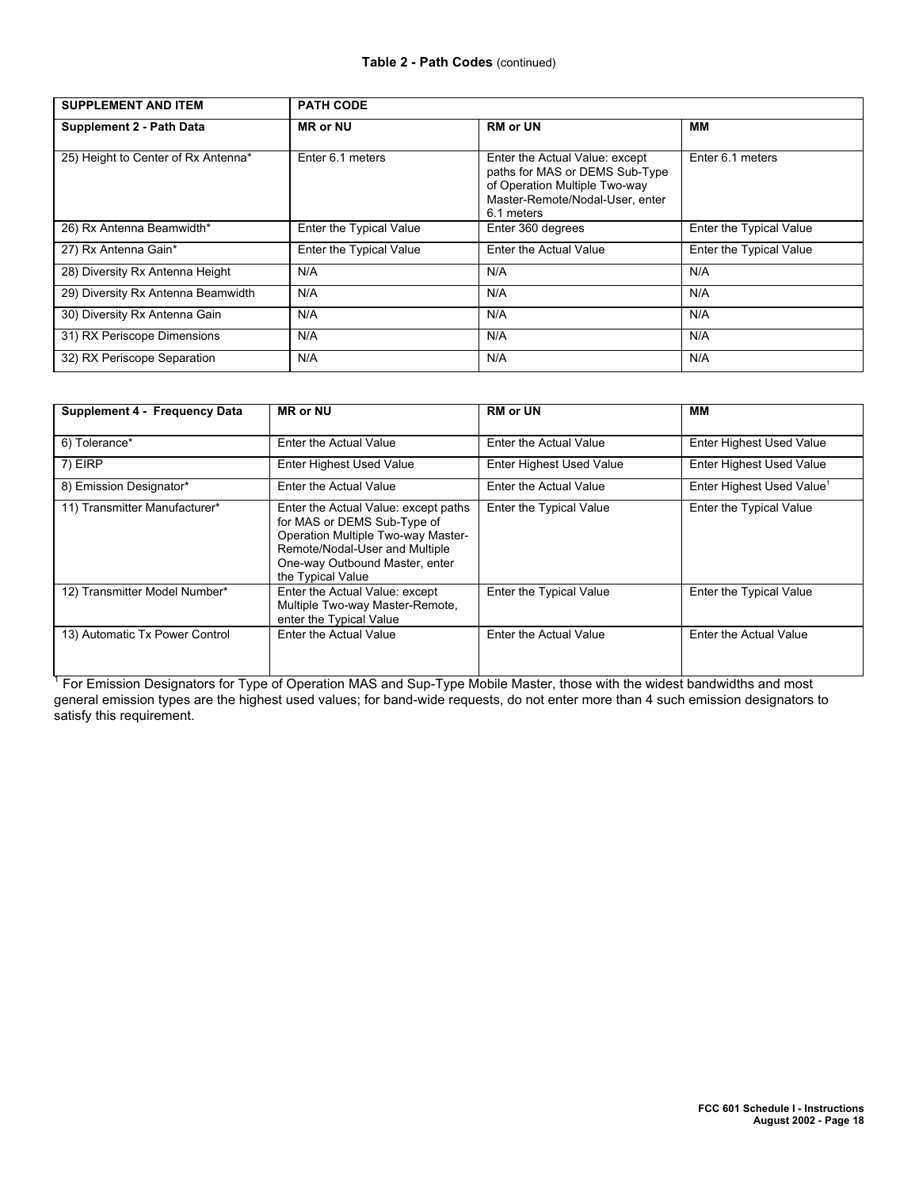| <b>SUPPLEMENT AND ITEM</b>          | <b>PATH CODE</b>        |                                                                                                                                                    |                         |
|-------------------------------------|-------------------------|----------------------------------------------------------------------------------------------------------------------------------------------------|-------------------------|
| Supplement 2 - Path Data            | <b>MR or NU</b>         | <b>RM or UN</b>                                                                                                                                    | MМ                      |
| 25) Height to Center of Rx Antenna* | Enter 6.1 meters        | Enter the Actual Value: except<br>paths for MAS or DEMS Sub-Type<br>of Operation Multiple Two-way<br>Master-Remote/Nodal-User, enter<br>6.1 meters | Enter 6.1 meters        |
| 26) Rx Antenna Beamwidth*           | Enter the Typical Value | Enter 360 degrees                                                                                                                                  | Enter the Typical Value |
| 27) Rx Antenna Gain*                | Enter the Typical Value | Enter the Actual Value                                                                                                                             | Enter the Typical Value |
| 28) Diversity Rx Antenna Height     | N/A                     | N/A                                                                                                                                                | N/A                     |
| 29) Diversity Rx Antenna Beamwidth  | N/A                     | N/A                                                                                                                                                | N/A                     |
| 30) Diversity Rx Antenna Gain       | N/A                     | N/A                                                                                                                                                | N/A                     |
| 31) RX Periscope Dimensions         | N/A                     | N/A                                                                                                                                                | N/A                     |
| 32) RX Periscope Separation         | N/A                     | N/A                                                                                                                                                | N/A                     |

| Supplement 4 - Frequency Data  | <b>MR or NU</b>                                                                                                                                                                                    | <b>RM</b> or UN                 | MМ                                    |
|--------------------------------|----------------------------------------------------------------------------------------------------------------------------------------------------------------------------------------------------|---------------------------------|---------------------------------------|
| 6) Tolerance*                  | Enter the Actual Value                                                                                                                                                                             | Enter the Actual Value          | <b>Enter Highest Used Value</b>       |
| 7) EIRP                        | <b>Enter Highest Used Value</b>                                                                                                                                                                    | <b>Enter Highest Used Value</b> | <b>Enter Highest Used Value</b>       |
| 8) Emission Designator*        | Enter the Actual Value                                                                                                                                                                             | Enter the Actual Value          | Enter Highest Used Value <sup>1</sup> |
| 11) Transmitter Manufacturer*  | Enter the Actual Value: except paths<br>for MAS or DEMS Sub-Type of<br>Operation Multiple Two-way Master-<br>Remote/Nodal-User and Multiple<br>One-way Outbound Master, enter<br>the Typical Value | Enter the Typical Value         | Enter the Typical Value               |
| 12) Transmitter Model Number*  | Enter the Actual Value: except<br>Multiple Two-way Master-Remote,<br>enter the Typical Value                                                                                                       | Enter the Typical Value         | <b>Enter the Typical Value</b>        |
| 13) Automatic Tx Power Control | Enter the Actual Value                                                                                                                                                                             | Enter the Actual Value          | Enter the Actual Value                |

<sup>1</sup> For Emission Designators for Type of Operation MAS and Sup-Type Mobile Master, those with the widest bandwidths and most general emission types are the highest used values; for band-wide requests, do not enter more than 4 such emission designators to satisfy this requirement.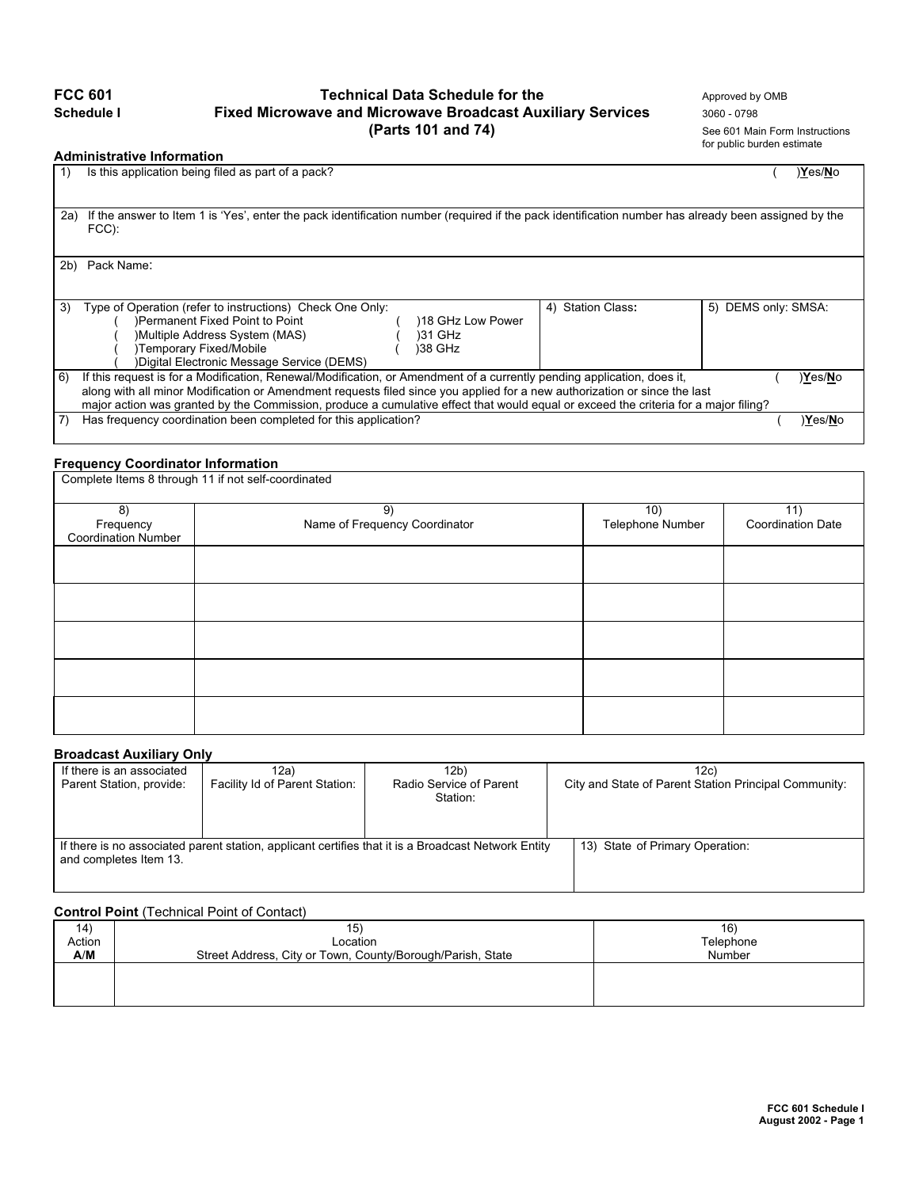# **FCC 601 Technical Data Schedule for the** Approved by OMB **Schedule I CCC 601 Fixed Microwave and Microwave Broadcast Auxiliary Services** 3060 - 0798 **Fixed Microwave and Microwave Broadcast Auxiliary Services** 3060 - 0798<br>**See 601 Mai** (Parts 101 and 74)

See 601 Main Form Instructions for public burden estimate

## **Administrative Information**

|     | AMIIIIIIVU UUTV IIIIVI IIIUUV                                                                                                                                   |                   |                     |
|-----|-----------------------------------------------------------------------------------------------------------------------------------------------------------------|-------------------|---------------------|
|     | Is this application being filed as part of a pack?                                                                                                              |                   | )Yes/No             |
| 2a) | If the answer to Item 1 is 'Yes', enter the pack identification number (required if the pack identification number has already been assigned by the<br>$FCC$ ): |                   |                     |
| 2b) | Pack Name:                                                                                                                                                      |                   |                     |
|     |                                                                                                                                                                 |                   |                     |
| 3)  | Type of Operation (refer to instructions) Check One Only:                                                                                                       | 4) Station Class: | 5) DEMS only: SMSA: |
|     | )Permanent Fixed Point to Point<br>18 GHz Low Power                                                                                                             |                   |                     |
|     | )Multiple Address System (MAS)<br>131 GHz                                                                                                                       |                   |                     |
|     | )Temporary Fixed/Mobile<br>)38 GHz                                                                                                                              |                   |                     |
|     | )Digital Electronic Message Service (DEMS)                                                                                                                      |                   |                     |
| 6)  | If this request is for a Modification, Renewal/Modification, or Amendment of a currently pending application, does it,                                          |                   | Yes/No              |
|     | along with all minor Modification or Amendment requests filed since you applied for a new authorization or since the last                                       |                   |                     |
|     | major action was granted by the Commission, produce a cumulative effect that would equal or exceed the criteria for a major filing?                             |                   |                     |
| 7)  | Has frequency coordination been completed for this application?                                                                                                 |                   | )Yes/No             |

## **Frequency Coordinator Information**

| Complete Items 8 through 11 if not self-coordinated |                                     |                         |                                 |  |
|-----------------------------------------------------|-------------------------------------|-------------------------|---------------------------------|--|
| 8)<br>Frequency<br><b>Coordination Number</b>       | 9)<br>Name of Frequency Coordinator | 10)<br>Telephone Number | 11)<br><b>Coordination Date</b> |  |
|                                                     |                                     |                         |                                 |  |
|                                                     |                                     |                         |                                 |  |
|                                                     |                                     |                         |                                 |  |
|                                                     |                                     |                         |                                 |  |
|                                                     |                                     |                         |                                 |  |

## **Broadcast Auxiliary Only**

| If there is an associated | 12a)                                                                                                | 12b)                                | 12c)                                                  |
|---------------------------|-----------------------------------------------------------------------------------------------------|-------------------------------------|-------------------------------------------------------|
| Parent Station, provide:  | Facility Id of Parent Station:                                                                      | Radio Service of Parent<br>Station: | City and State of Parent Station Principal Community: |
| and completes Item 13.    | If there is no associated parent station, applicant certifies that it is a Broadcast Network Entity | 13) State of Primary Operation:     |                                                       |

## **Control Point** (Technical Point of Contact)

|        | <b>OUTRUL DIRECTORING LOTER OF OUTROL</b>                  |           |
|--------|------------------------------------------------------------|-----------|
| 14)    | 15)                                                        | 16)       |
| Action | Location                                                   | Telephone |
| A/M    | Street Address, City or Town, County/Borough/Parish, State | Number    |
|        |                                                            |           |
|        |                                                            |           |
|        |                                                            |           |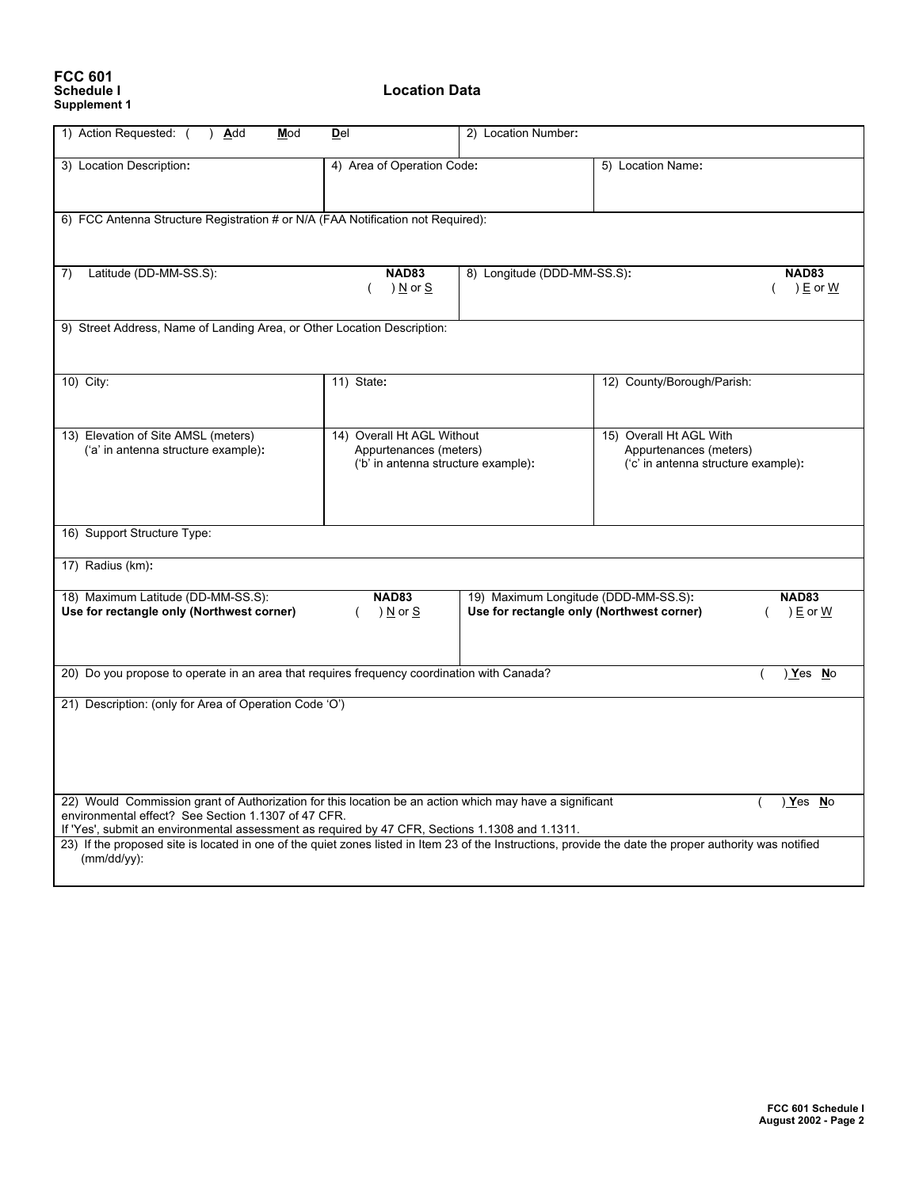## **FCC 601 Supplement 1**

**Location Data** 

| 1) Action Requested: (<br>) Add<br>Mod                                                                                                                  | DeI                                 | 2) Location Number:                       |                                     |              |
|---------------------------------------------------------------------------------------------------------------------------------------------------------|-------------------------------------|-------------------------------------------|-------------------------------------|--------------|
|                                                                                                                                                         |                                     |                                           |                                     |              |
| 3) Location Description:                                                                                                                                | 4) Area of Operation Code:          |                                           | 5) Location Name:                   |              |
|                                                                                                                                                         |                                     |                                           |                                     |              |
|                                                                                                                                                         |                                     |                                           |                                     |              |
| 6) FCC Antenna Structure Registration # or N/A (FAA Notification not Required):                                                                         |                                     |                                           |                                     |              |
|                                                                                                                                                         |                                     |                                           |                                     |              |
|                                                                                                                                                         |                                     |                                           |                                     |              |
|                                                                                                                                                         |                                     |                                           |                                     |              |
| Latitude (DD-MM-SS.S):<br>7)                                                                                                                            | <b>NAD83</b>                        | 8) Longitude (DDD-MM-SS.S):               |                                     | <b>NAD83</b> |
|                                                                                                                                                         | ) N or S                            |                                           |                                     | ) $E$ or $W$ |
|                                                                                                                                                         |                                     |                                           |                                     |              |
| 9) Street Address, Name of Landing Area, or Other Location Description:                                                                                 |                                     |                                           |                                     |              |
|                                                                                                                                                         |                                     |                                           |                                     |              |
|                                                                                                                                                         |                                     |                                           |                                     |              |
|                                                                                                                                                         |                                     |                                           |                                     |              |
| 10) City:                                                                                                                                               | 11) State:                          |                                           | 12) County/Borough/Parish:          |              |
|                                                                                                                                                         |                                     |                                           |                                     |              |
|                                                                                                                                                         |                                     |                                           |                                     |              |
| 13) Elevation of Site AMSL (meters)                                                                                                                     | 14) Overall Ht AGL Without          |                                           | 15) Overall Ht AGL With             |              |
| ('a' in antenna structure example):                                                                                                                     | Appurtenances (meters)              |                                           | Appurtenances (meters)              |              |
|                                                                                                                                                         | ('b' in antenna structure example): |                                           | ('c' in antenna structure example): |              |
|                                                                                                                                                         |                                     |                                           |                                     |              |
|                                                                                                                                                         |                                     |                                           |                                     |              |
|                                                                                                                                                         |                                     |                                           |                                     |              |
| 16) Support Structure Type:                                                                                                                             |                                     |                                           |                                     |              |
|                                                                                                                                                         |                                     |                                           |                                     |              |
| 17) Radius (km):                                                                                                                                        |                                     |                                           |                                     |              |
|                                                                                                                                                         |                                     |                                           |                                     |              |
| 18) Maximum Latitude (DD-MM-SS.S):                                                                                                                      | <b>NAD83</b>                        | 19) Maximum Longitude (DDD-MM-SS.S):      |                                     | <b>NAD83</b> |
| Use for rectangle only (Northwest corner)                                                                                                               | ) <u>N</u> or <u>S</u><br>$\left($  | Use for rectangle only (Northwest corner) |                                     | ) E or W     |
|                                                                                                                                                         |                                     |                                           |                                     |              |
|                                                                                                                                                         |                                     |                                           |                                     |              |
|                                                                                                                                                         |                                     |                                           |                                     |              |
| 20) Do you propose to operate in an area that requires frequency coordination with Canada?                                                              |                                     |                                           |                                     | ) Yes No     |
|                                                                                                                                                         |                                     |                                           |                                     |              |
| 21) Description: (only for Area of Operation Code 'O')                                                                                                  |                                     |                                           |                                     |              |
|                                                                                                                                                         |                                     |                                           |                                     |              |
|                                                                                                                                                         |                                     |                                           |                                     |              |
|                                                                                                                                                         |                                     |                                           |                                     |              |
|                                                                                                                                                         |                                     |                                           |                                     |              |
|                                                                                                                                                         |                                     |                                           |                                     |              |
| 22) Would Commission grant of Authorization for this location be an action which may have a significant                                                 |                                     |                                           |                                     | ) Yes No     |
| environmental effect? See Section 1.1307 of 47 CFR.                                                                                                     |                                     |                                           |                                     |              |
| If 'Yes', submit an environmental assessment as required by 47 CFR, Sections 1.1308 and 1.1311.                                                         |                                     |                                           |                                     |              |
| 23) If the proposed site is located in one of the quiet zones listed in Item 23 of the Instructions, provide the date the proper authority was notified |                                     |                                           |                                     |              |
| $(mm/dd/yy)$ :                                                                                                                                          |                                     |                                           |                                     |              |
|                                                                                                                                                         |                                     |                                           |                                     |              |
|                                                                                                                                                         |                                     |                                           |                                     |              |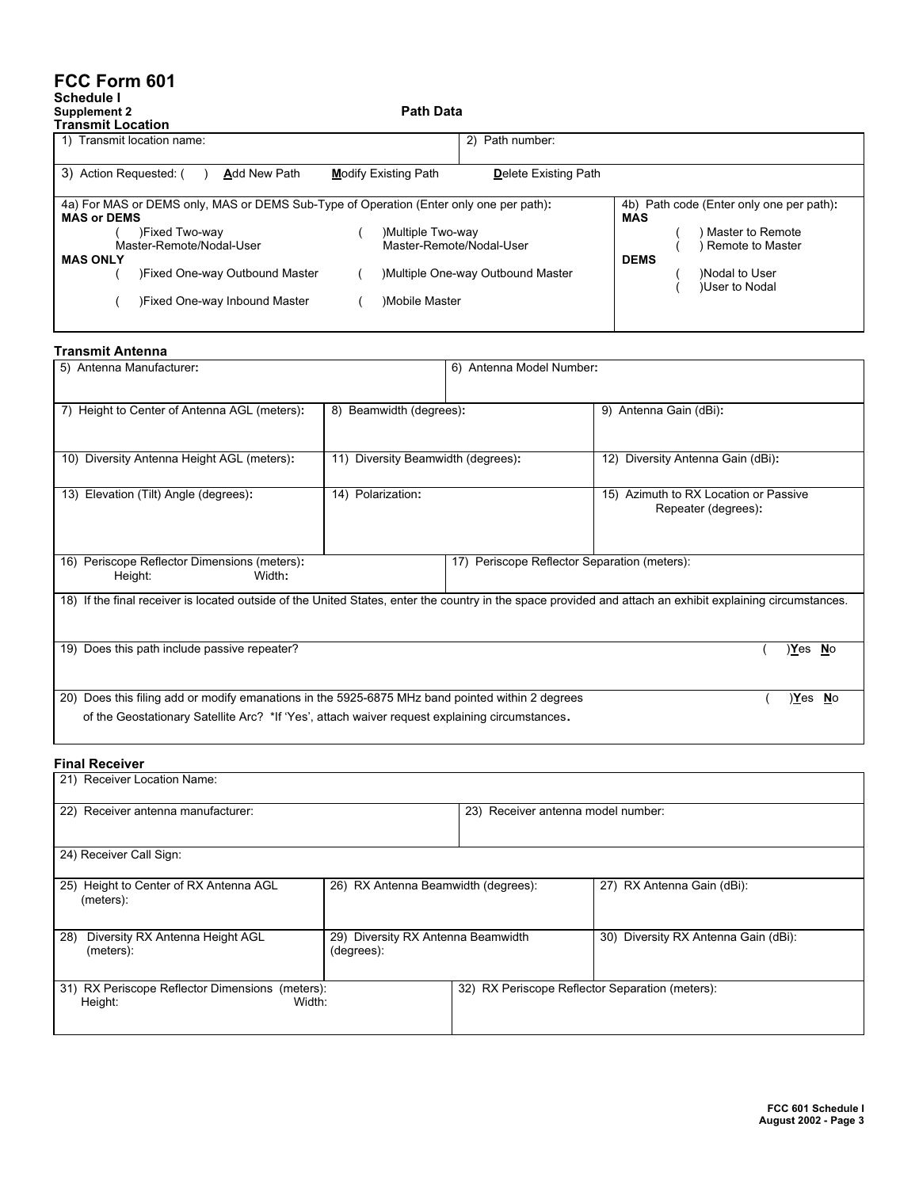## **FCC Form 601**

#### **Schedule I Supplement 2 Path Data**

| Transmit Location                                                                      |                                                            |                                          |
|----------------------------------------------------------------------------------------|------------------------------------------------------------|------------------------------------------|
| 1) Transmit location name:                                                             | 2) Path number:                                            |                                          |
|                                                                                        |                                                            |                                          |
| 3) Action Requested: (<br><b>Add New Path</b>                                          | <b>Modify Existing Path</b><br><b>Delete Existing Path</b> |                                          |
|                                                                                        |                                                            |                                          |
| 4a) For MAS or DEMS only, MAS or DEMS Sub-Type of Operation (Enter only one per path): |                                                            | 4b) Path code (Enter only one per path): |
| <b>MAS or DEMS</b>                                                                     |                                                            | <b>MAS</b>                               |
| )Fixed Two-way                                                                         | Multiple Two-way                                           | Master to Remote                         |
| Master-Remote/Nodal-User                                                               | Master-Remote/Nodal-User                                   | Remote to Master                         |
| <b>MAS ONLY</b>                                                                        |                                                            | <b>DEMS</b>                              |
| )Fixed One-way Outbound Master                                                         | Multiple One-way Outbound Master                           | )Nodal to User                           |
|                                                                                        |                                                            | <b>User to Nodal</b>                     |
| )Fixed One-way Inbound Master                                                          | Mobile Master                                              |                                          |
|                                                                                        |                                                            |                                          |

| <b>Transmit Antenna</b>                                                                                                                                    |                                       |                                                 |                                                              |  |  |
|------------------------------------------------------------------------------------------------------------------------------------------------------------|---------------------------------------|-------------------------------------------------|--------------------------------------------------------------|--|--|
| 5) Antenna Manufacturer:                                                                                                                                   |                                       | 6) Antenna Model Number:                        |                                                              |  |  |
| 7) Height to Center of Antenna AGL (meters):                                                                                                               | 8) Beamwidth (degrees):               |                                                 | 9) Antenna Gain (dBi):                                       |  |  |
| 10) Diversity Antenna Height AGL (meters):                                                                                                                 | Diversity Beamwidth (degrees):<br>11) |                                                 | Diversity Antenna Gain (dBi):<br>12)                         |  |  |
| 13) Elevation (Tilt) Angle (degrees):                                                                                                                      | 14) Polarization:                     |                                                 | 15) Azimuth to RX Location or Passive<br>Repeater (degrees): |  |  |
| 16) Periscope Reflector Dimensions (meters):<br>Width:<br>Height:                                                                                          |                                       | Periscope Reflector Separation (meters):<br>17) |                                                              |  |  |
| 18) If the final receiver is located outside of the United States, enter the country in the space provided and attach an exhibit explaining circumstances. |                                       |                                                 |                                                              |  |  |
| 19) Does this path include passive repeater?                                                                                                               |                                       |                                                 | <u>Yes No</u>                                                |  |  |
| Does this filing add or modify emanations in the 5925-6875 MHz band pointed within 2 degrees<br>20)                                                        |                                       |                                                 | Yes No                                                       |  |  |
| of the Geostationary Satellite Arc? *If 'Yes', attach waiver request explaining circumstances.                                                             |                                       |                                                 |                                                              |  |  |

## **Final Receiver**

| 21) Receiver Location Name:                                          |                                                  |                                                 |                                      |  |
|----------------------------------------------------------------------|--------------------------------------------------|-------------------------------------------------|--------------------------------------|--|
| 22) Receiver antenna manufacturer:                                   |                                                  | 23) Receiver antenna model number:              |                                      |  |
| 24) Receiver Call Sign:                                              |                                                  |                                                 |                                      |  |
| 25) Height to Center of RX Antenna AGL<br>(meters):                  | 26) RX Antenna Beamwidth (degrees):              |                                                 | 27) RX Antenna Gain (dBi):           |  |
| 28)<br>Diversity RX Antenna Height AGL<br>(meters):                  | 29) Diversity RX Antenna Beamwidth<br>(degrees): |                                                 | 30) Diversity RX Antenna Gain (dBi): |  |
| 31) RX Periscope Reflector Dimensions (meters):<br>Height:<br>Width: |                                                  | 32) RX Periscope Reflector Separation (meters): |                                      |  |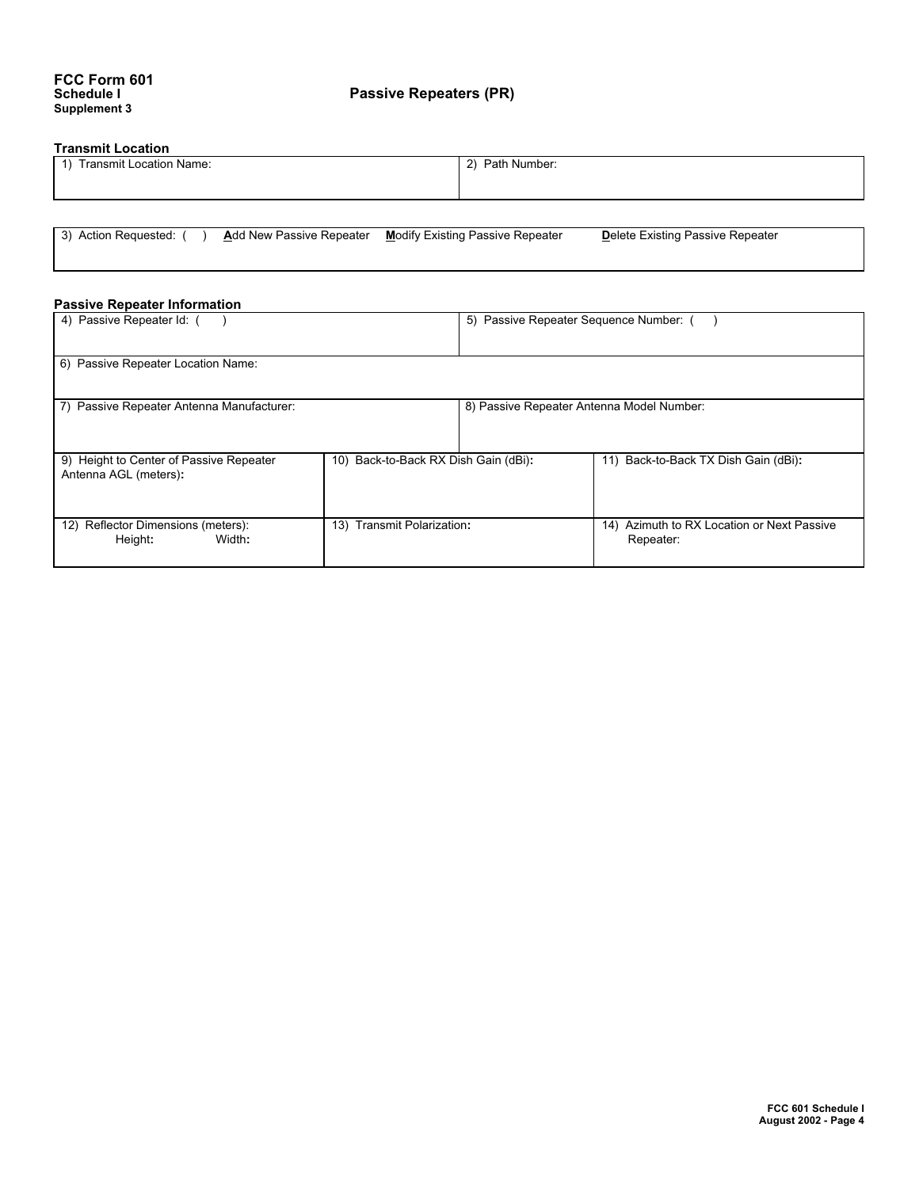## **Transmit Location**

| Transmit Location Name:<br>$\overline{1}$ | 2) Path Number: |
|-------------------------------------------|-----------------|
|                                           |                 |

3) Action Requested: ( ) **A**dd New Passive Repeater **M**odify Existing Passive Repeater **D**elete Existing Passive Repeater

#### **Passive Repeater Information**

| 4) Passive Repeater Id: ()                                       |                                      | 5) Passive Repeater Sequence Number: (    |                                                         |  |
|------------------------------------------------------------------|--------------------------------------|-------------------------------------------|---------------------------------------------------------|--|
| 6) Passive Repeater Location Name:                               |                                      |                                           |                                                         |  |
| 7) Passive Repeater Antenna Manufacturer:                        |                                      | 8) Passive Repeater Antenna Model Number: |                                                         |  |
| 9) Height to Center of Passive Repeater<br>Antenna AGL (meters): | 10) Back-to-Back RX Dish Gain (dBi): |                                           | 11) Back-to-Back TX Dish Gain (dBi):                    |  |
| 12) Reflector Dimensions (meters):<br>Height:<br>Width:          | 13) Transmit Polarization:           |                                           | 14) Azimuth to RX Location or Next Passive<br>Repeater: |  |